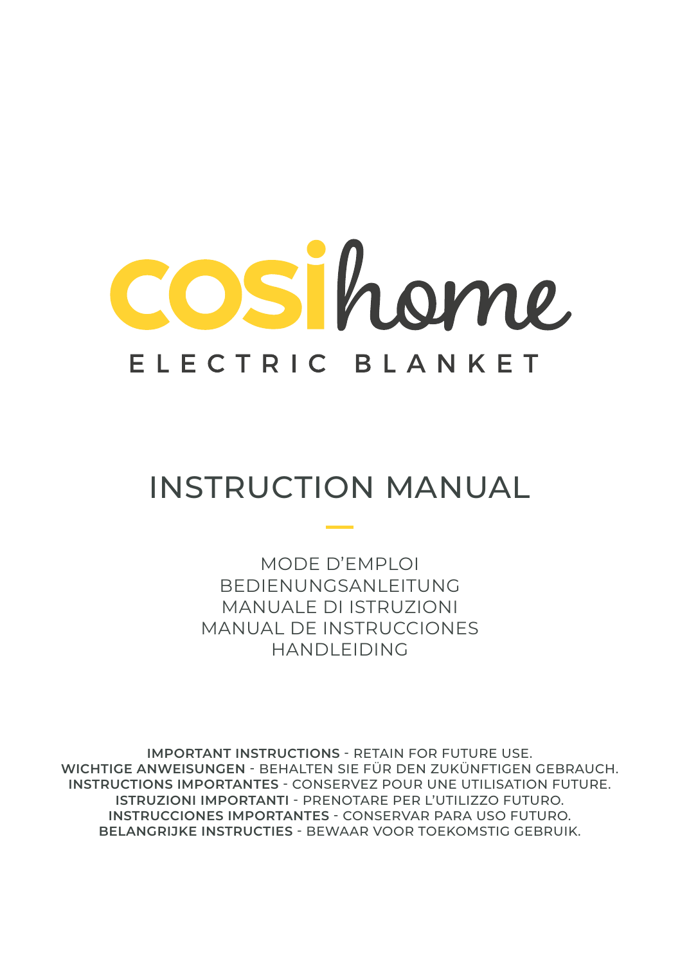

## INSTRUCTION MANUAL

MODE D'EMPLOI BEDIENUNGSANLEITUNG MANUALE DI ISTRUZIONI MANUAL DE INSTRUCCIONES HANDLEIDING

**IMPORTANT INSTRUCTIONS** - RETAIN FOR FUTURE USE. **WICHTIGE ANWEISUNGEN** - BEHALTEN SIE FÜR DEN ZUKÜNFTIGEN GEBRAUCH. **INSTRUCTIONS IMPORTANTES** - CONSERVEZ POUR UNE UTILISATION FUTURE. **ISTRUZIONI IMPORTANTI** - PRENOTARE PER L'UTILIZZO FUTURO. **INSTRUCCIONES IMPORTANTES** - CONSERVAR PARA USO FUTURO. **BELANGRIJKE INSTRUCTIES** - BEWAAR VOOR TOEKOMSTIG GEBRUIK.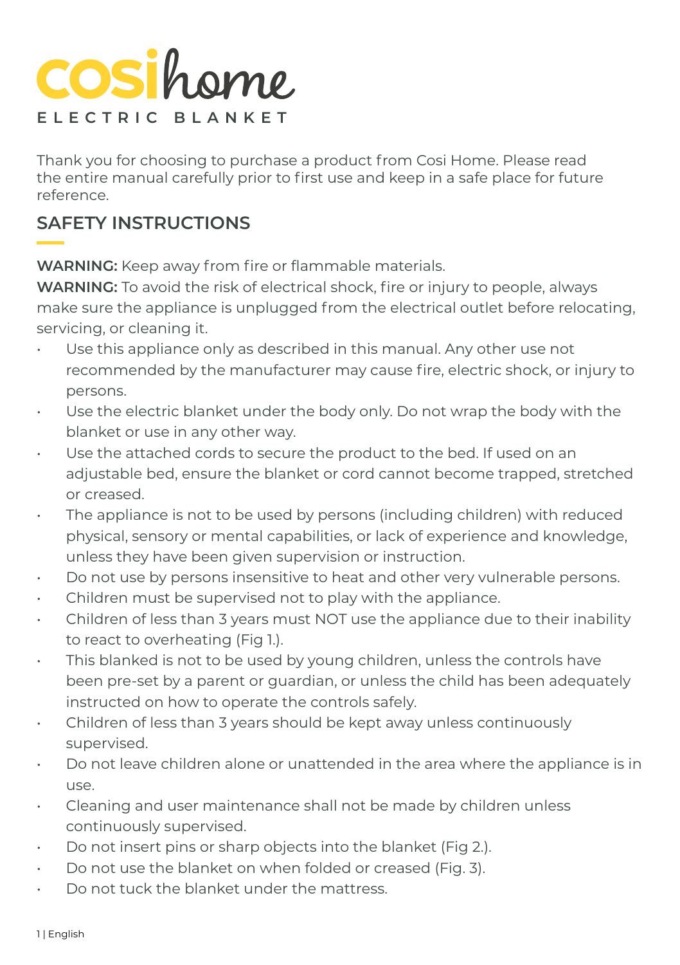## **COSi**home **ELECTRIC BLANKET**

Thank you for choosing to purchase a product from Cosi Home. Please read the entire manual carefully prior to first use and keep in a safe place for future reference.

#### **SAFETY INSTRUCTIONS**

**WARNING:** Keep away from fire or flammable materials.

**WARNING:** To avoid the risk of electrical shock, fire or injury to people, always make sure the appliance is unplugged from the electrical outlet before relocating, servicing, or cleaning it.

- Use this appliance only as described in this manual. Any other use not recommended by the manufacturer may cause fire, electric shock, or injury to persons.
- Use the electric blanket under the body only. Do not wrap the body with the blanket or use in any other way.
- Use the attached cords to secure the product to the bed. If used on an adjustable bed, ensure the blanket or cord cannot become trapped, stretched or creased.
- The appliance is not to be used by persons (including children) with reduced physical, sensory or mental capabilities, or lack of experience and knowledge, unless they have been given supervision or instruction.
- Do not use by persons insensitive to heat and other very vulnerable persons.
- Children must be supervised not to play with the appliance.
- Children of less than 3 years must NOT use the appliance due to their inability to react to overheating (Fig 1.).
- This blanked is not to be used by young children, unless the controls have been pre-set by a parent or guardian, or unless the child has been adequately instructed on how to operate the controls safely.
- Children of less than 3 years should be kept away unless continuously supervised.
- Do not leave children alone or unattended in the area where the appliance is in use.
- Cleaning and user maintenance shall not be made by children unless continuously supervised.
- Do not insert pins or sharp objects into the blanket (Fig 2.).
- Do not use the blanket on when folded or creased (Fig. 3).
- Do not tuck the blanket under the mattress.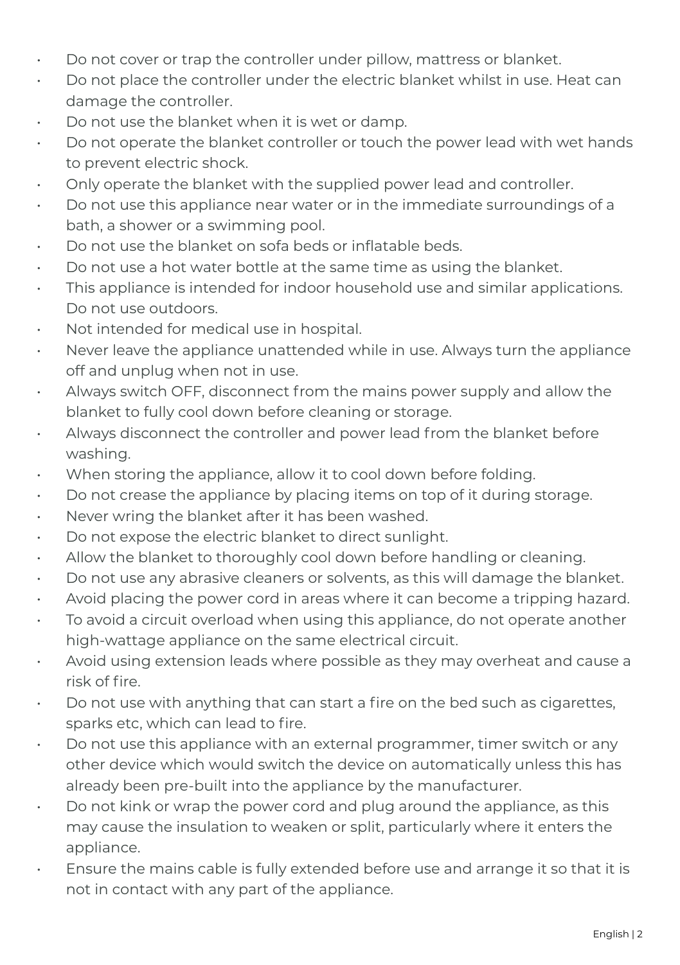- Do not cover or trap the controller under pillow, mattress or blanket.
- Do not place the controller under the electric blanket whilst in use. Heat can damage the controller.
- Do not use the blanket when it is wet or damp.
- Do not operate the blanket controller or touch the power lead with wet hands to prevent electric shock.
- Only operate the blanket with the supplied power lead and controller.
- Do not use this appliance near water or in the immediate surroundings of a bath, a shower or a swimming pool.
- Do not use the blanket on sofa beds or inflatable beds.
- Do not use a hot water bottle at the same time as using the blanket.
- This appliance is intended for indoor household use and similar applications. Do not use outdoors.
- Not intended for medical use in hospital.
- Never leave the appliance unattended while in use. Always turn the appliance off and unplug when not in use.
- Always switch OFF, disconnect from the mains power supply and allow the blanket to fully cool down before cleaning or storage.
- Always disconnect the controller and power lead from the blanket before washing.
- When storing the appliance, allow it to cool down before folding.
- Do not crease the appliance by placing items on top of it during storage.
- Never wring the blanket after it has been washed.
- Do not expose the electric blanket to direct sunlight.
- Allow the blanket to thoroughly cool down before handling or cleaning.
- Do not use any abrasive cleaners or solvents, as this will damage the blanket.
- Avoid placing the power cord in areas where it can become a tripping hazard.
- To avoid a circuit overload when using this appliance, do not operate another high-wattage appliance on the same electrical circuit.
- Avoid using extension leads where possible as they may overheat and cause a risk of fire.
- Do not use with anything that can start a fire on the bed such as cigarettes, sparks etc, which can lead to fire.
- Do not use this appliance with an external programmer, timer switch or any other device which would switch the device on automatically unless this has already been pre-built into the appliance by the manufacturer.
- Do not kink or wrap the power cord and plug around the appliance, as this may cause the insulation to weaken or split, particularly where it enters the appliance.
- Ensure the mains cable is fully extended before use and arrange it so that it is not in contact with any part of the appliance.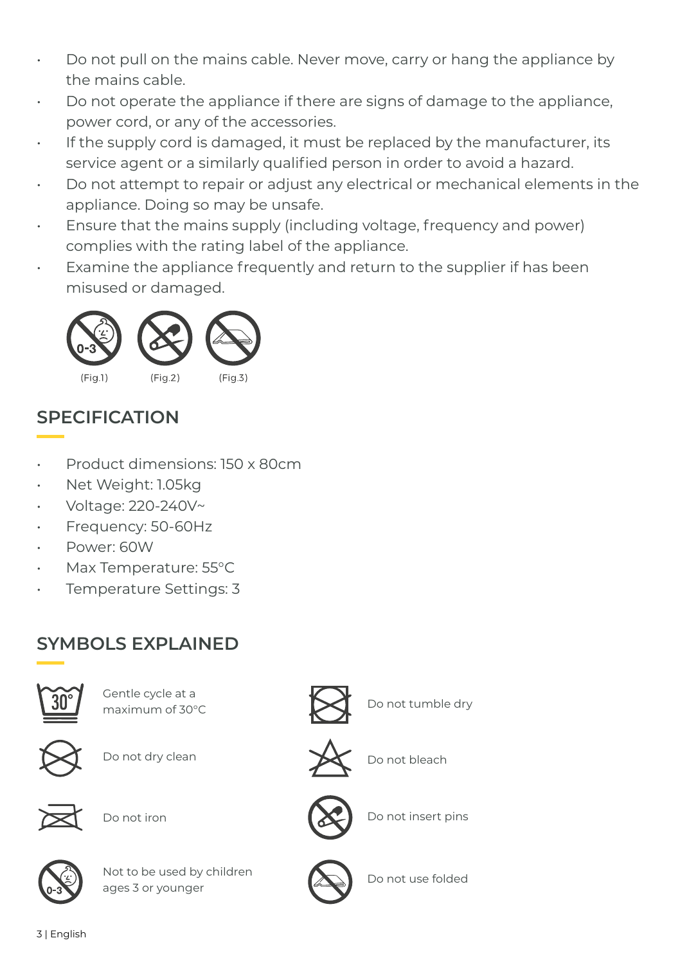- Do not pull on the mains cable. Never move, carry or hang the appliance by the mains cable.
- Do not operate the appliance if there are signs of damage to the appliance, power cord, or any of the accessories.
- If the supply cord is damaged, it must be replaced by the manufacturer, its service agent or a similarly qualified person in order to avoid a hazard.
- Do not attempt to repair or adjust any electrical or mechanical elements in the appliance. Doing so may be unsafe.
- Ensure that the mains supply (including voltage, frequency and power) complies with the rating label of the appliance.
- Examine the appliance frequently and return to the supplier if has been misused or damaged.



### **SPECIFICATION**

- Product dimensions: 150 x 80cm
- Net Weight: 1.05kg
- Voltage: 220-240V~
- Frequency: 50-60Hz
- Power: 60W
- Max Temperature: 55°C
- Temperature Settings: 3

### **SYMBOLS EXPLAINED**



Gentle cycle at a  $\sum$  Do not tumble dry

Do not dry clean Do not bleach



Do not iron



Not to be used by children ages 3 or younger







Do not insert pins



Do not use folded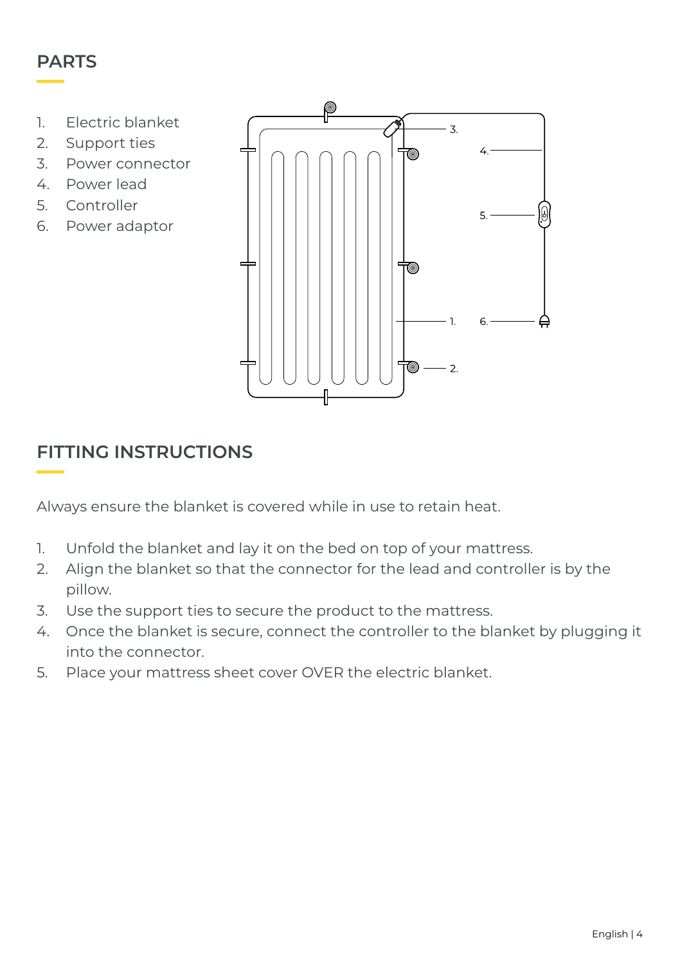#### **PARTS**

- 1. Electric blanket
- 2. Support ties
- 3. Power connector
- 4. Power lead
- 5. Controller
- 6. Power adaptor



#### **FITTING INSTRUCTIONS**

Always ensure the blanket is covered while in use to retain heat.

- 1. Unfold the blanket and lay it on the bed on top of your mattress.
- 2. Align the blanket so that the connector for the lead and controller is by the pillow.
- 3. Use the support ties to secure the product to the mattress.
- 4. Once the blanket is secure, connect the controller to the blanket by plugging it into the connector.
- 5. Place your mattress sheet cover OVER the electric blanket.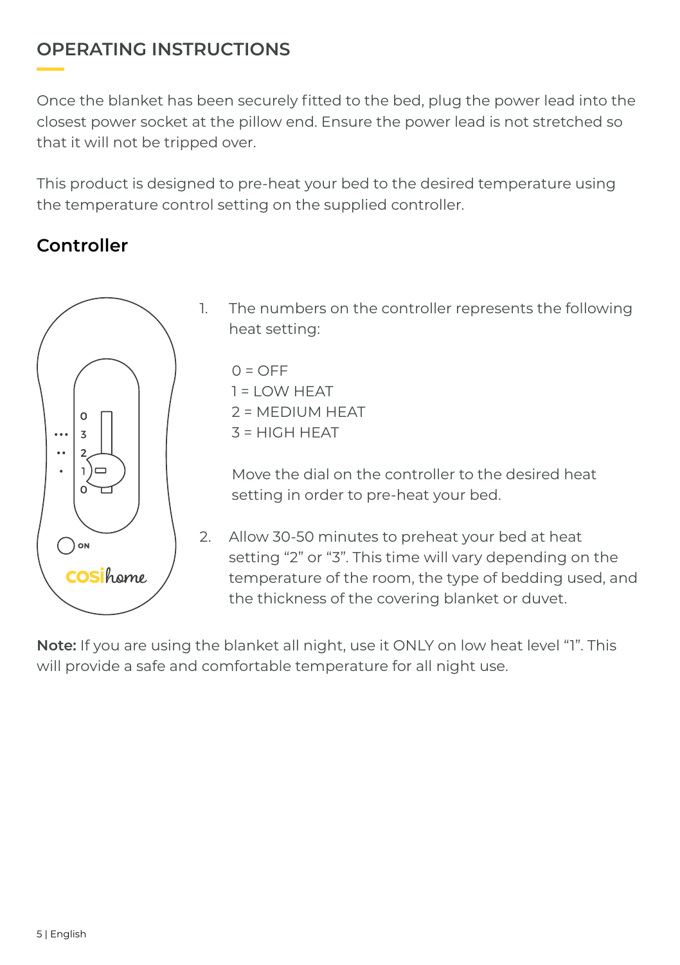#### **OPERATING INSTRUCTIONS**

Once the blanket has been securely fitted to the bed, plug the power lead into the closest power socket at the pillow end. Ensure the power lead is not stretched so that it will not be tripped over.

This product is designed to pre-heat your bed to the desired temperature using the temperature control setting on the supplied controller.

#### **Controller**



1. The numbers on the controller represents the following heat setting:

 $O = OFE$  $1 = I$  OW HFAT  $2 = M$ FDIUM HEAT  $3 = H1GH HFAT$ 

Move the dial on the controller to the desired heat setting in order to pre-heat your bed.

2. Allow 30-50 minutes to preheat your bed at heat setting "2" or "3". This time will vary depending on the temperature of the room, the type of bedding used, and the thickness of the covering blanket or duvet.

**Note:** If you are using the blanket all night, use it ONLY on low heat level "1". This will provide a safe and comfortable temperature for all night use.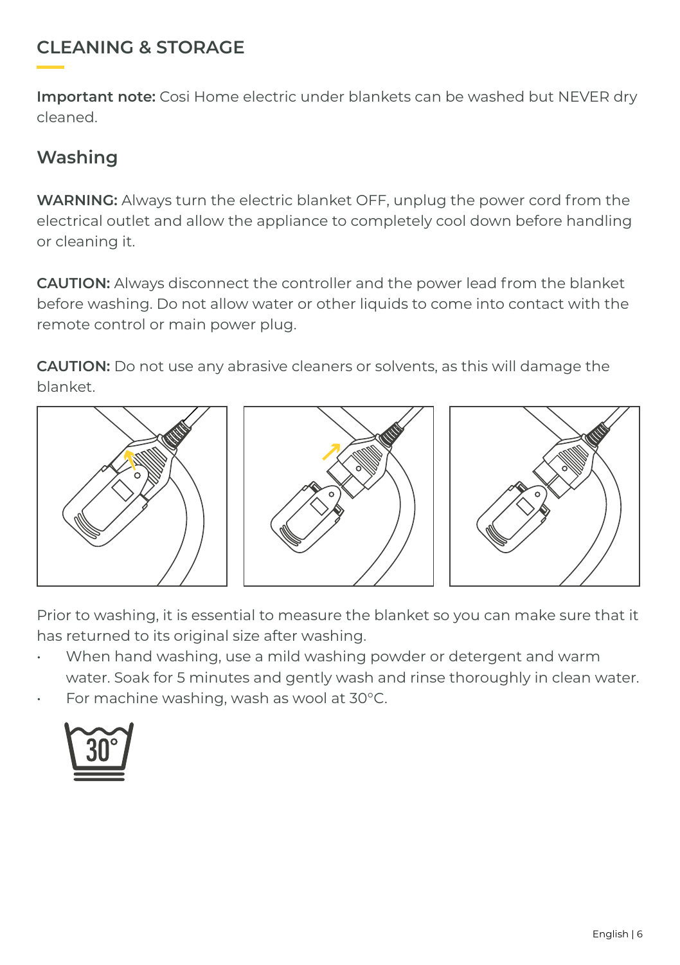#### **CLEANING & STORAGE**

**Important note:** Cosi Home electric under blankets can be washed but NEVER dry cleaned.

#### **Washing**

**WARNING:** Always turn the electric blanket OFF, unplug the power cord from the electrical outlet and allow the appliance to completely cool down before handling or cleaning it.

**CAUTION:** Always disconnect the controller and the power lead from the blanket before washing. Do not allow water or other liquids to come into contact with the remote control or main power plug.

**CAUTION:** Do not use any abrasive cleaners or solvents, as this will damage the blanket.



Prior to washing, it is essential to measure the blanket so you can make sure that it has returned to its original size after washing.

- When hand washing, use a mild washing powder or detergent and warm water. Soak for 5 minutes and gently wash and rinse thoroughly in clean water.
- For machine washing, wash as wool at 30°C.

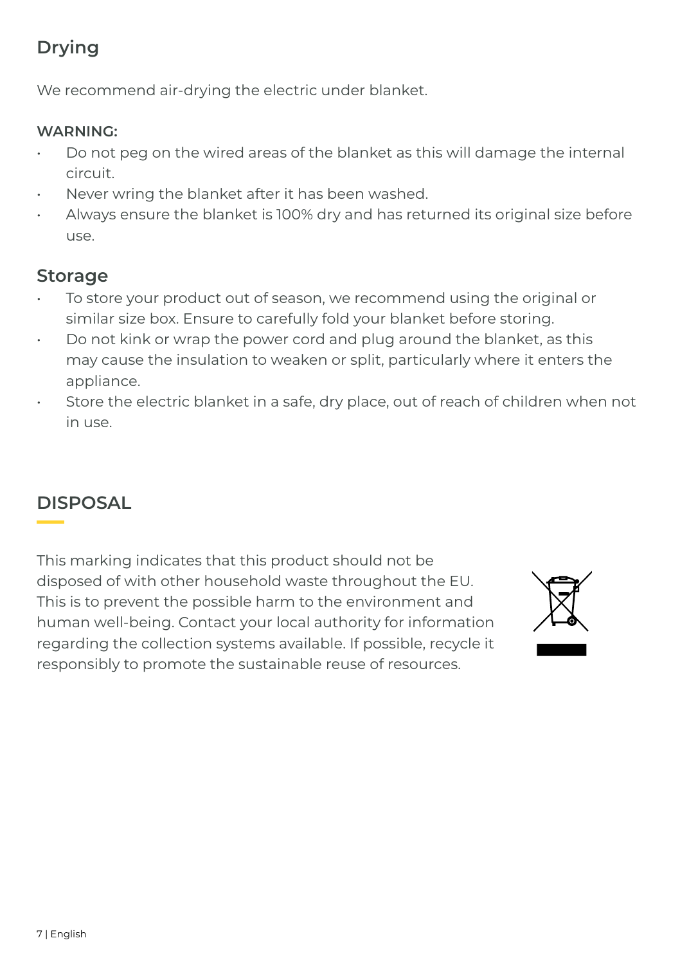### **Drying**

We recommend air-drying the electric under blanket.

#### **WARNING:**

- Do not peg on the wired areas of the blanket as this will damage the internal circuit.
- Never wring the blanket after it has been washed.
- Always ensure the blanket is 100% dry and has returned its original size before use.

#### **Storage**

- To store your product out of season, we recommend using the original or similar size box. Ensure to carefully fold your blanket before storing.
- Do not kink or wrap the power cord and plug around the blanket, as this may cause the insulation to weaken or split, particularly where it enters the appliance.
- Store the electric blanket in a safe, dry place, out of reach of children when not in use.

### **DISPOSAL**

This marking indicates that this product should not be disposed of with other household waste throughout the EU. This is to prevent the possible harm to the environment and human well-being. Contact your local authority for information regarding the collection systems available. If possible, recycle it responsibly to promote the sustainable reuse of resources.

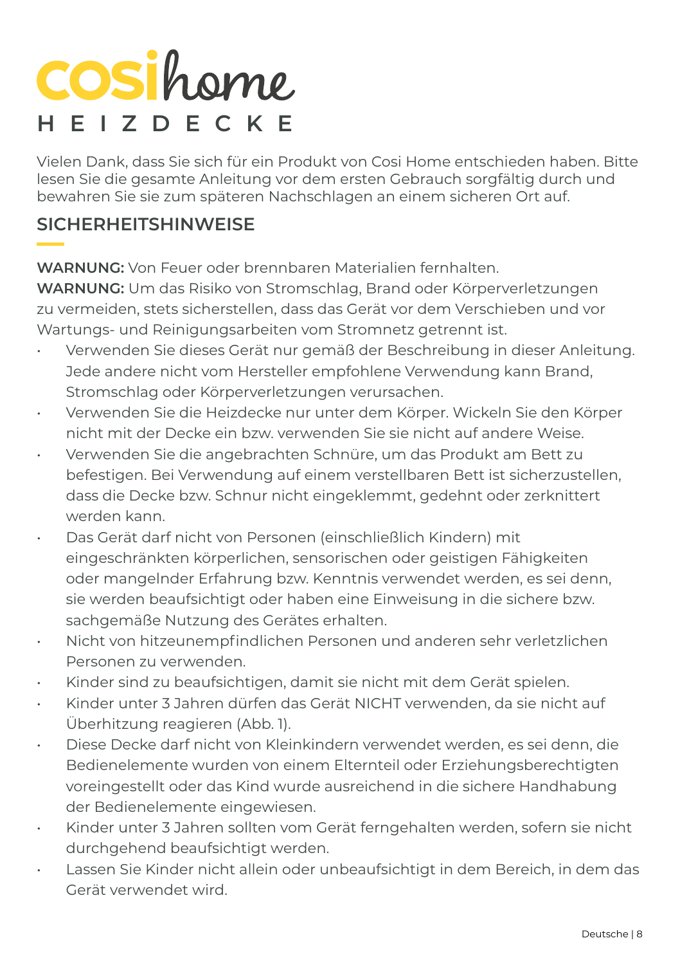# **COSihome HEIZDECKE**

Vielen Dank, dass Sie sich für ein Produkt von Cosi Home entschieden haben. Bitte lesen Sie die gesamte Anleitung vor dem ersten Gebrauch sorgfältig durch und bewahren Sie sie zum späteren Nachschlagen an einem sicheren Ort auf.

#### **SICHERHEITSHINWEISE**

**WARNUNG:** Von Feuer oder brennbaren Materialien fernhalten.

**WARNUNG:** Um das Risiko von Stromschlag, Brand oder Körperverletzungen zu vermeiden, stets sicherstellen, dass das Gerät vor dem Verschieben und vor Wartungs- und Reinigungsarbeiten vom Stromnetz getrennt ist.

- Verwenden Sie dieses Gerät nur gemäß der Beschreibung in dieser Anleitung. Jede andere nicht vom Hersteller empfohlene Verwendung kann Brand, Stromschlag oder Körperverletzungen verursachen.
- Verwenden Sie die Heizdecke nur unter dem Körper. Wickeln Sie den Körper nicht mit der Decke ein bzw. verwenden Sie sie nicht auf andere Weise.
- Verwenden Sie die angebrachten Schnüre, um das Produkt am Bett zu befestigen. Bei Verwendung auf einem verstellbaren Bett ist sicherzustellen, dass die Decke bzw. Schnur nicht eingeklemmt, gedehnt oder zerknittert werden kann.
- Das Gerät darf nicht von Personen (einschließlich Kindern) mit eingeschränkten körperlichen, sensorischen oder geistigen Fähigkeiten oder mangelnder Erfahrung bzw. Kenntnis verwendet werden, es sei denn, sie werden beaufsichtigt oder haben eine Einweisung in die sichere bzw. sachgemäße Nutzung des Gerätes erhalten.
- Nicht von hitzeunempfindlichen Personen und anderen sehr verletzlichen Personen zu verwenden.
- Kinder sind zu beaufsichtigen, damit sie nicht mit dem Gerät spielen.
- Kinder unter 3 Jahren dürfen das Gerät NICHT verwenden, da sie nicht auf Überhitzung reagieren (Abb. 1).
- Diese Decke darf nicht von Kleinkindern verwendet werden, es sei denn, die Bedienelemente wurden von einem Elternteil oder Erziehungsberechtigten voreingestellt oder das Kind wurde ausreichend in die sichere Handhabung der Bedienelemente eingewiesen.
- Kinder unter 3 Jahren sollten vom Gerät ferngehalten werden, sofern sie nicht durchgehend beaufsichtigt werden.
- Lassen Sie Kinder nicht allein oder unbeaufsichtigt in dem Bereich, in dem das Gerät verwendet wird.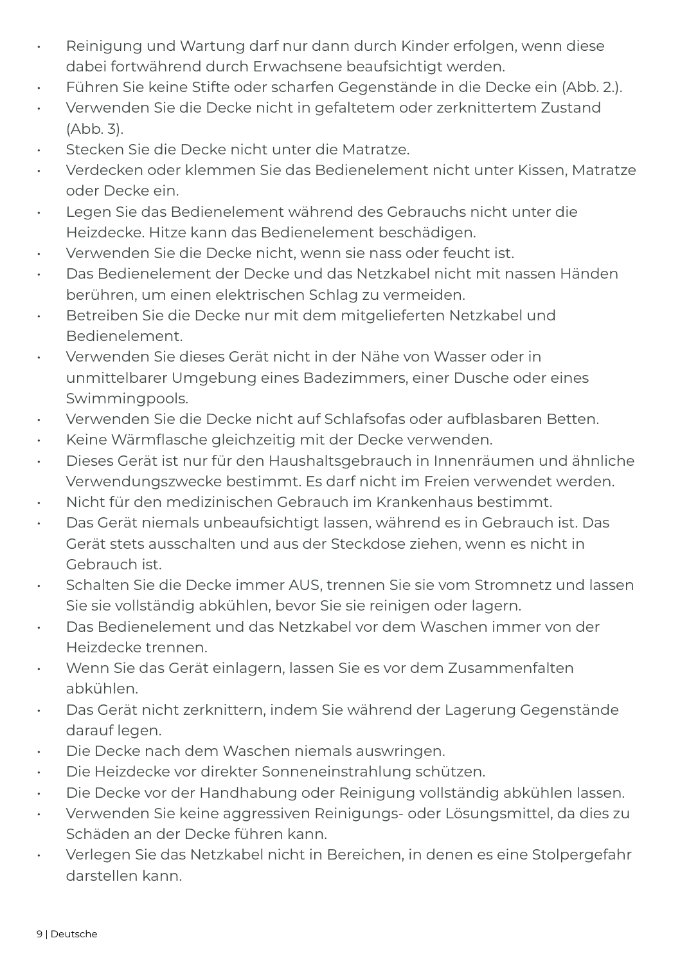- Reinigung und Wartung darf nur dann durch Kinder erfolgen, wenn diese dabei fortwährend durch Erwachsene beaufsichtigt werden.
- Führen Sie keine Stifte oder scharfen Gegenstände in die Decke ein (Abb. 2.).
- Verwenden Sie die Decke nicht in gefaltetem oder zerknittertem Zustand (Abb. 3).
- Stecken Sie die Decke nicht unter die Matratze.
- Verdecken oder klemmen Sie das Bedienelement nicht unter Kissen, Matratze oder Decke ein.
- Legen Sie das Bedienelement während des Gebrauchs nicht unter die Heizdecke. Hitze kann das Bedienelement beschädigen.
- Verwenden Sie die Decke nicht, wenn sie nass oder feucht ist.
- Das Bedienelement der Decke und das Netzkabel nicht mit nassen Händen berühren, um einen elektrischen Schlag zu vermeiden.
- Betreiben Sie die Decke nur mit dem mitgelieferten Netzkabel und Bedienelement.
- Verwenden Sie dieses Gerät nicht in der Nähe von Wasser oder in unmittelbarer Umgebung eines Badezimmers, einer Dusche oder eines Swimmingpools.
- Verwenden Sie die Decke nicht auf Schlafsofas oder aufblasbaren Betten.
- Keine Wärmflasche gleichzeitig mit der Decke verwenden.
- Dieses Gerät ist nur für den Haushaltsgebrauch in Innenräumen und ähnliche Verwendungszwecke bestimmt. Es darf nicht im Freien verwendet werden.
- Nicht für den medizinischen Gebrauch im Krankenhaus bestimmt.
- Das Gerät niemals unbeaufsichtigt lassen, während es in Gebrauch ist. Das Gerät stets ausschalten und aus der Steckdose ziehen, wenn es nicht in Gebrauch ist.
- Schalten Sie die Decke immer AUS, trennen Sie sie vom Stromnetz und lassen Sie sie vollständig abkühlen, bevor Sie sie reinigen oder lagern.
- Das Bedienelement und das Netzkabel vor dem Waschen immer von der Heizdecke trennen.
- Wenn Sie das Gerät einlagern, lassen Sie es vor dem Zusammenfalten abkühlen.
- Das Gerät nicht zerknittern, indem Sie während der Lagerung Gegenstände darauf legen.
- Die Decke nach dem Waschen niemals auswringen.
- Die Heizdecke vor direkter Sonneneinstrahlung schützen.
- Die Decke vor der Handhabung oder Reinigung vollständig abkühlen lassen.
- Verwenden Sie keine aggressiven Reinigungs- oder Lösungsmittel, da dies zu Schäden an der Decke führen kann.
- Verlegen Sie das Netzkabel nicht in Bereichen, in denen es eine Stolpergefahr darstellen kann.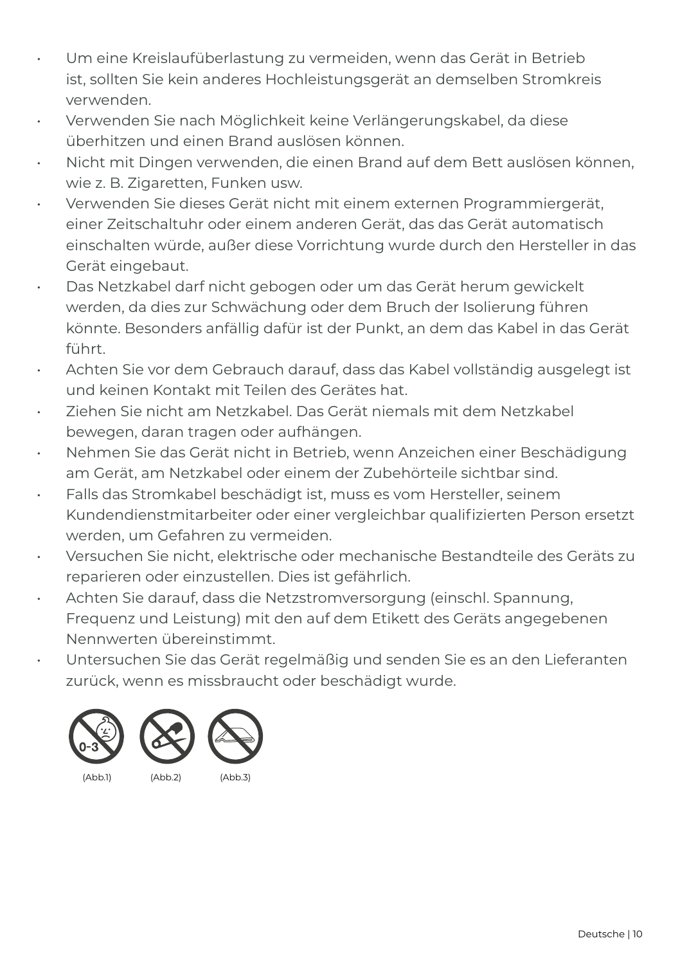- Um eine Kreislaufüberlastung zu vermeiden, wenn das Gerät in Betrieb ist, sollten Sie kein anderes Hochleistungsgerät an demselben Stromkreis verwenden.
- Verwenden Sie nach Möglichkeit keine Verlängerungskabel, da diese überhitzen und einen Brand auslösen können.
- Nicht mit Dingen verwenden, die einen Brand auf dem Bett auslösen können, wie z. B. Zigaretten, Funken usw.
- Verwenden Sie dieses Gerät nicht mit einem externen Programmiergerät, einer Zeitschaltuhr oder einem anderen Gerät, das das Gerät automatisch einschalten würde, außer diese Vorrichtung wurde durch den Hersteller in das Gerät eingebaut.
- Das Netzkabel darf nicht gebogen oder um das Gerät herum gewickelt werden, da dies zur Schwächung oder dem Bruch der Isolierung führen könnte. Besonders anfällig dafür ist der Punkt, an dem das Kabel in das Gerät führt.
- Achten Sie vor dem Gebrauch darauf, dass das Kabel vollständig ausgelegt ist und keinen Kontakt mit Teilen des Gerätes hat.
- Ziehen Sie nicht am Netzkabel. Das Gerät niemals mit dem Netzkabel bewegen, daran tragen oder aufhängen.
- Nehmen Sie das Gerät nicht in Betrieb, wenn Anzeichen einer Beschädigung am Gerät, am Netzkabel oder einem der Zubehörteile sichtbar sind.
- Falls das Stromkabel beschädigt ist, muss es vom Hersteller, seinem Kundendienstmitarbeiter oder einer vergleichbar qualifizierten Person ersetzt werden, um Gefahren zu vermeiden.
- Versuchen Sie nicht, elektrische oder mechanische Bestandteile des Geräts zu reparieren oder einzustellen. Dies ist gefährlich.
- Achten Sie darauf, dass die Netzstromversorgung (einschl. Spannung, Frequenz und Leistung) mit den auf dem Etikett des Geräts angegebenen Nennwerten übereinstimmt.
- Untersuchen Sie das Gerät regelmäßig und senden Sie es an den Lieferanten zurück, wenn es missbraucht oder beschädigt wurde.

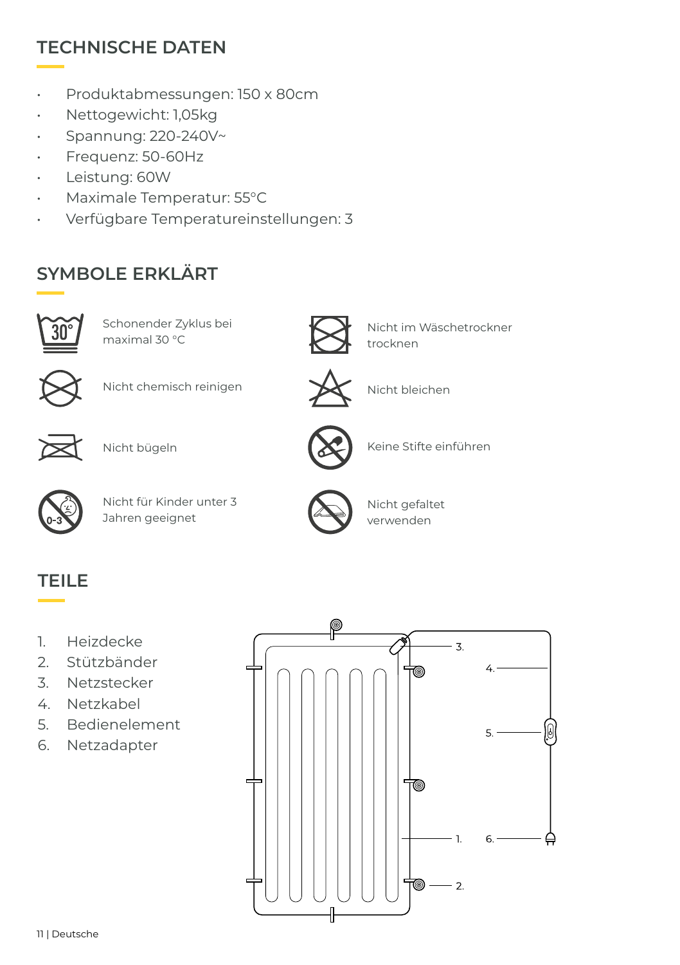#### **TECHNISCHE DATEN**

- Produktabmessungen: 150 x 80cm
- Nettogewicht: 1,05kg
- Spannung: 220-240V~
- Frequenz: 50-60Hz
- Leistung: 60W
- Maximale Temperatur: 55°C
- Verfügbare Temperatureinstellungen: 3

## **SYMBOLE ERKLÄRT**



Schonender Zyklus bei maximal 30 °C



Nicht im Wäschetrockner trocknen



Nicht chemisch reinigen Nicht bleichen





Nicht bügeln



Nicht für Kinder unter 3 Jahren geeignet



Nicht gefaltet verwenden

Keine Stifte einführen

#### **TEILE**

- 1. Heizdecke
- 2. Stützbänder
- 3. Netzstecker
- 4. Netzkabel
- 5. Bedienelement
- 6. Netzadapter

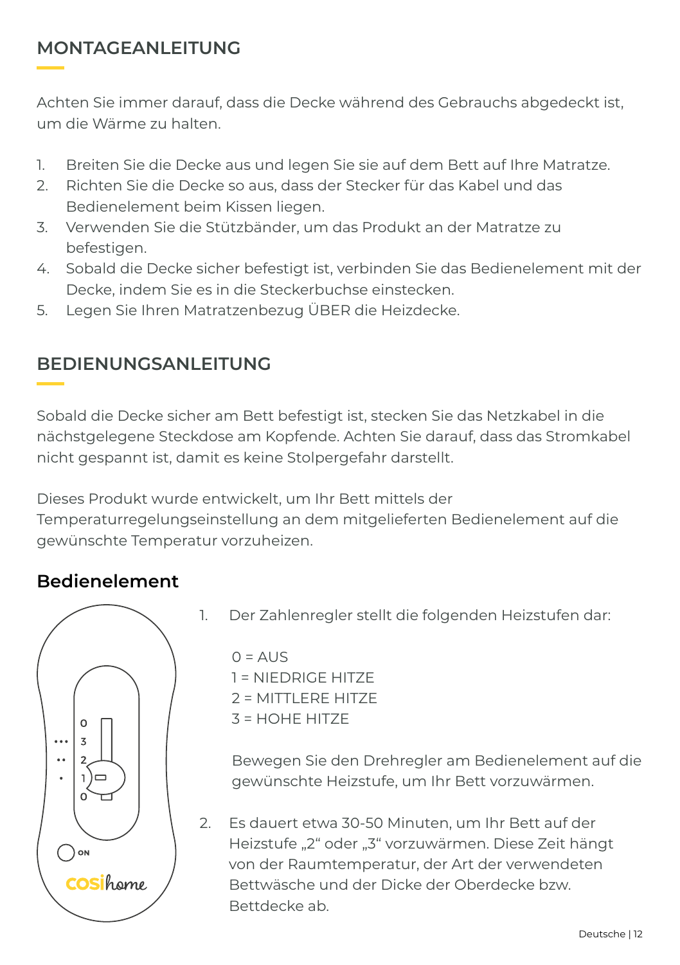#### **MONTAGEANLEITUNG**

Achten Sie immer darauf, dass die Decke während des Gebrauchs abgedeckt ist, um die Wärme zu halten.

- 1. Breiten Sie die Decke aus und legen Sie sie auf dem Bett auf Ihre Matratze.
- 2. Richten Sie die Decke so aus, dass der Stecker für das Kabel und das Bedienelement beim Kissen liegen.
- 3. Verwenden Sie die Stützbänder, um das Produkt an der Matratze zu befestigen.
- 4. Sobald die Decke sicher befestigt ist, verbinden Sie das Bedienelement mit der Decke, indem Sie es in die Steckerbuchse einstecken.
- 5. Legen Sie Ihren Matratzenbezug ÜBER die Heizdecke.

#### **BEDIENUNGSANLEITUNG**

Sobald die Decke sicher am Bett befestigt ist, stecken Sie das Netzkabel in die nächstgelegene Steckdose am Kopfende. Achten Sie darauf, dass das Stromkabel nicht gespannt ist, damit es keine Stolpergefahr darstellt.

Dieses Produkt wurde entwickelt, um Ihr Bett mittels der

Temperaturregelungseinstellung an dem mitgelieferten Bedienelement auf die gewünschte Temperatur vorzuheizen.

#### **Bedienelement**



1. Der Zahlenregler stellt die folgenden Heizstufen dar:

 $Q = \Delta U$ 1 = NIEDRIGE HITZE 2 = MITTLERE HITZE  $3 = HOHF HITZF$ 

Bewegen Sie den Drehregler am Bedienelement auf die gewünschte Heizstufe, um Ihr Bett vorzuwärmen.

2. Es dauert etwa 30-50 Minuten, um Ihr Bett auf der Heizstufe "2" oder "3" vorzuwärmen. Diese Zeit hängt von der Raumtemperatur, der Art der verwendeten Bettwäsche und der Dicke der Oberdecke bzw. Bettdecke ab.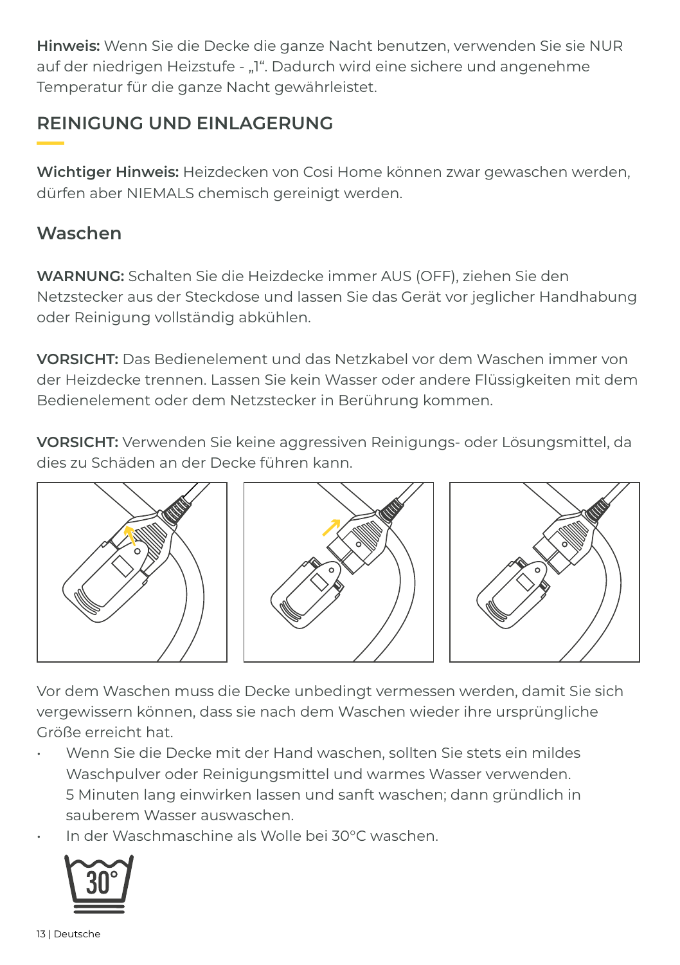**Hinweis:** Wenn Sie die Decke die ganze Nacht benutzen, verwenden Sie sie NUR auf der niedrigen Heizstufe - "1". Dadurch wird eine sichere und angenehme Temperatur für die ganze Nacht gewährleistet.

#### **REINIGUNG UND EINLAGERUNG**

**Wichtiger Hinweis:** Heizdecken von Cosi Home können zwar gewaschen werden, dürfen aber NIEMALS chemisch gereinigt werden.

#### **Waschen**

**WARNUNG:** Schalten Sie die Heizdecke immer AUS (OFF), ziehen Sie den Netzstecker aus der Steckdose und lassen Sie das Gerät vor jeglicher Handhabung oder Reinigung vollständig abkühlen.

**VORSICHT:** Das Bedienelement und das Netzkabel vor dem Waschen immer von der Heizdecke trennen. Lassen Sie kein Wasser oder andere Flüssigkeiten mit dem Bedienelement oder dem Netzstecker in Berührung kommen.

**VORSICHT:** Verwenden Sie keine aggressiven Reinigungs- oder Lösungsmittel, da dies zu Schäden an der Decke führen kann.



Vor dem Waschen muss die Decke unbedingt vermessen werden, damit Sie sich vergewissern können, dass sie nach dem Waschen wieder ihre ursprüngliche Größe erreicht hat.

- Wenn Sie die Decke mit der Hand waschen, sollten Sie stets ein mildes Waschpulver oder Reinigungsmittel und warmes Wasser verwenden. 5 Minuten lang einwirken lassen und sanft waschen; dann gründlich in sauberem Wasser auswaschen.
- In der Waschmaschine als Wolle bei 30°C waschen.

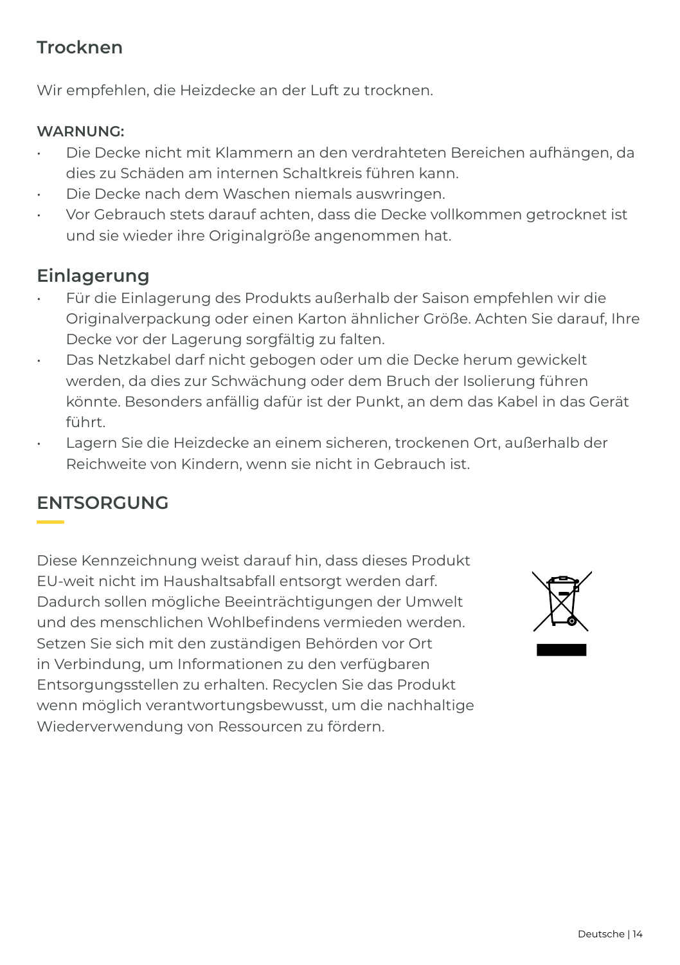#### **Trocknen**

Wir empfehlen, die Heizdecke an der Luft zu trocknen.

#### **WARNUNG:**

- Die Decke nicht mit Klammern an den verdrahteten Bereichen aufhängen, da dies zu Schäden am internen Schaltkreis führen kann.
- Die Decke nach dem Waschen niemals auswringen.
- Vor Gebrauch stets darauf achten, dass die Decke vollkommen getrocknet ist und sie wieder ihre Originalgröße angenommen hat.

#### **Einlagerung**

- Für die Einlagerung des Produkts außerhalb der Saison empfehlen wir die Originalverpackung oder einen Karton ähnlicher Größe. Achten Sie darauf, Ihre Decke vor der Lagerung sorgfältig zu falten.
- Das Netzkabel darf nicht gebogen oder um die Decke herum gewickelt werden, da dies zur Schwächung oder dem Bruch der Isolierung führen könnte. Besonders anfällig dafür ist der Punkt, an dem das Kabel in das Gerät führt.
- Lagern Sie die Heizdecke an einem sicheren, trockenen Ort, außerhalb der Reichweite von Kindern, wenn sie nicht in Gebrauch ist.

#### **ENTSORGUNG**

Diese Kennzeichnung weist darauf hin, dass dieses Produkt EU-weit nicht im Haushaltsabfall entsorgt werden darf. Dadurch sollen mögliche Beeinträchtigungen der Umwelt und des menschlichen Wohlbefindens vermieden werden. Setzen Sie sich mit den zuständigen Behörden vor Ort in Verbindung, um Informationen zu den verfügbaren Entsorgungsstellen zu erhalten. Recyclen Sie das Produkt wenn möglich verantwortungsbewusst, um die nachhaltige Wiederverwendung von Ressourcen zu fördern.

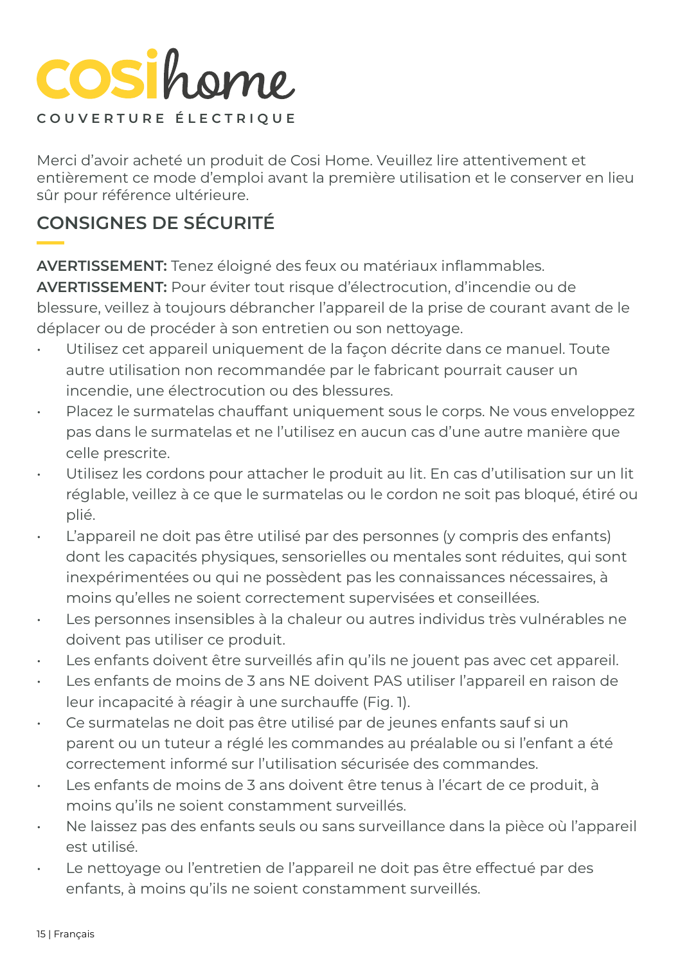## COSihome **COUVERTURE ÉLECTRIQUE**

Merci d'avoir acheté un produit de Cosi Home. Veuillez lire attentivement et entièrement ce mode d'emploi avant la première utilisation et le conserver en lieu sûr pour référence ultérieure.

## **CONSIGNES DE SÉCURITÉ**

**AVERTISSEMENT:** Tenez éloigné des feux ou matériaux inflammables.

**AVERTISSEMENT:** Pour éviter tout risque d'électrocution, d'incendie ou de blessure, veillez à toujours débrancher l'appareil de la prise de courant avant de le déplacer ou de procéder à son entretien ou son nettoyage.

- Utilisez cet appareil uniquement de la façon décrite dans ce manuel. Toute autre utilisation non recommandée par le fabricant pourrait causer un incendie, une électrocution ou des blessures.
- Placez le surmatelas chauffant uniquement sous le corps. Ne vous enveloppez pas dans le surmatelas et ne l'utilisez en aucun cas d'une autre manière que celle prescrite.
- Utilisez les cordons pour attacher le produit au lit. En cas d'utilisation sur un lit réglable, veillez à ce que le surmatelas ou le cordon ne soit pas bloqué, étiré ou plié.
- L'appareil ne doit pas être utilisé par des personnes (y compris des enfants) dont les capacités physiques, sensorielles ou mentales sont réduites, qui sont inexpérimentées ou qui ne possèdent pas les connaissances nécessaires, à moins qu'elles ne soient correctement supervisées et conseillées.
- Les personnes insensibles à la chaleur ou autres individus très vulnérables ne doivent pas utiliser ce produit.
- Les enfants doivent être surveillés afin qu'ils ne jouent pas avec cet appareil.
- Les enfants de moins de 3 ans NE doivent PAS utiliser l'appareil en raison de leur incapacité à réagir à une surchauffe (Fig. 1).
- Ce surmatelas ne doit pas être utilisé par de jeunes enfants sauf si un parent ou un tuteur a réglé les commandes au préalable ou si l'enfant a été correctement informé sur l'utilisation sécurisée des commandes.
- Les enfants de moins de 3 ans doivent être tenus à l'écart de ce produit, à moins qu'ils ne soient constamment surveillés.
- Ne laissez pas des enfants seuls ou sans surveillance dans la pièce où l'appareil est utilisé.
- Le nettoyage ou l'entretien de l'appareil ne doit pas être effectué par des enfants, à moins qu'ils ne soient constamment surveillés.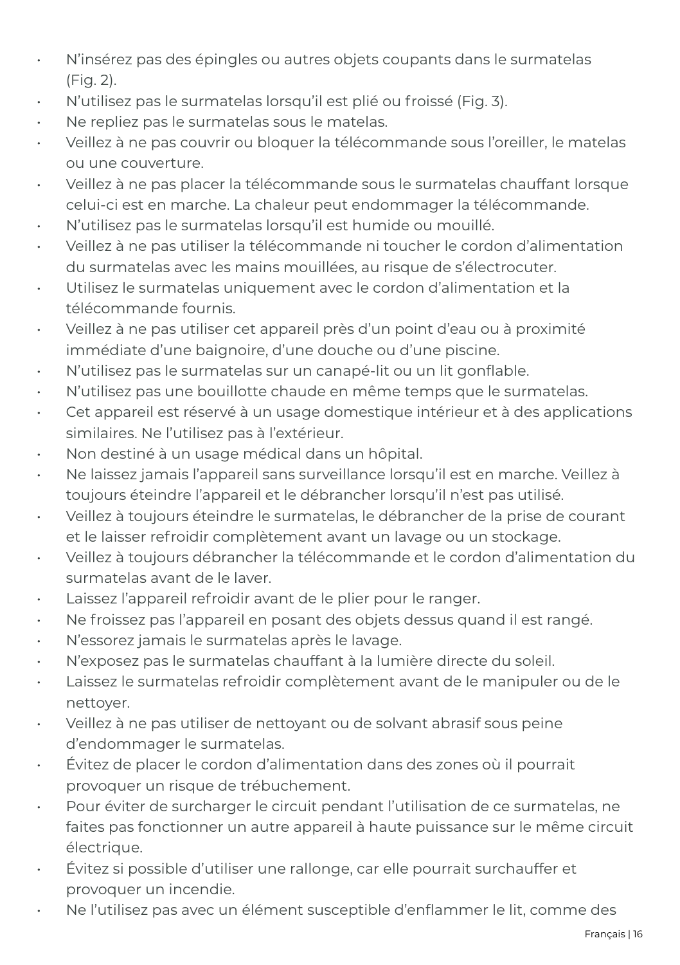- N'insérez pas des épingles ou autres objets coupants dans le surmatelas (Fig. 2).
- N'utilisez pas le surmatelas lorsqu'il est plié ou froissé (Fig. 3).
- Ne repliez pas le surmatelas sous le matelas.
- Veillez à ne pas couvrir ou bloquer la télécommande sous l'oreiller, le matelas ou une couverture.
- Veillez à ne pas placer la télécommande sous le surmatelas chauffant lorsque celui-ci est en marche. La chaleur peut endommager la télécommande.
- N'utilisez pas le surmatelas lorsqu'il est humide ou mouillé.
- Veillez à ne pas utiliser la télécommande ni toucher le cordon d'alimentation du surmatelas avec les mains mouillées, au risque de s'électrocuter.
- Utilisez le surmatelas uniquement avec le cordon d'alimentation et la télécommande fournis.
- Veillez à ne pas utiliser cet appareil près d'un point d'eau ou à proximité immédiate d'une baignoire, d'une douche ou d'une piscine.
- N'utilisez pas le surmatelas sur un canapé-lit ou un lit gonflable.
- N'utilisez pas une bouillotte chaude en même temps que le surmatelas.
- Cet appareil est réservé à un usage domestique intérieur et à des applications similaires. Ne l'utilisez pas à l'extérieur.
- Non destiné à un usage médical dans un hôpital.
- Ne laissez jamais l'appareil sans surveillance lorsqu'il est en marche. Veillez à toujours éteindre l'appareil et le débrancher lorsqu'il n'est pas utilisé.
- Veillez à toujours éteindre le surmatelas, le débrancher de la prise de courant et le laisser refroidir complètement avant un lavage ou un stockage.
- Veillez à toujours débrancher la télécommande et le cordon d'alimentation du surmatelas avant de le laver.
- Laissez l'appareil refroidir avant de le plier pour le ranger.
- Ne froissez pas l'appareil en posant des objets dessus quand il est rangé.
- N'essorez jamais le surmatelas après le lavage.
- N'exposez pas le surmatelas chauffant à la lumière directe du soleil.
- Laissez le surmatelas refroidir complètement avant de le manipuler ou de le nettoyer.
- Veillez à ne pas utiliser de nettoyant ou de solvant abrasif sous peine d'endommager le surmatelas.
- Évitez de placer le cordon d'alimentation dans des zones où il pourrait provoquer un risque de trébuchement.
- Pour éviter de surcharger le circuit pendant l'utilisation de ce surmatelas, ne faites pas fonctionner un autre appareil à haute puissance sur le même circuit électrique.
- Évitez si possible d'utiliser une rallonge, car elle pourrait surchauffer et provoquer un incendie.
- Ne l'utilisez pas avec un élément susceptible d'enflammer le lit, comme des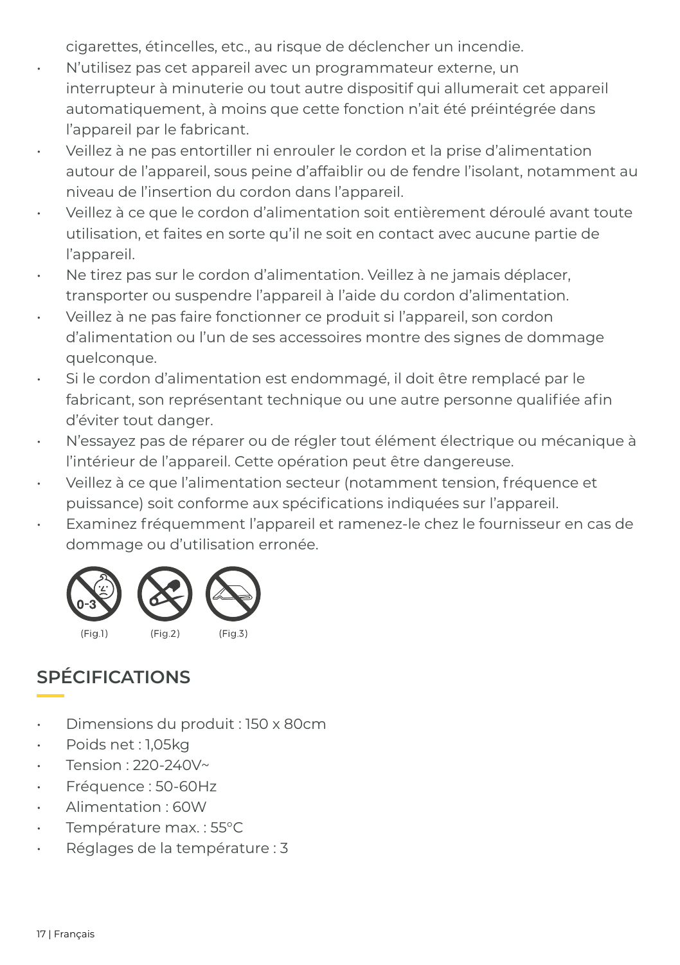cigarettes, étincelles, etc., au risque de déclencher un incendie.

- N'utilisez pas cet appareil avec un programmateur externe, un interrupteur à minuterie ou tout autre dispositif qui allumerait cet appareil automatiquement, à moins que cette fonction n'ait été préintégrée dans l'appareil par le fabricant.
- Veillez à ne pas entortiller ni enrouler le cordon et la prise d'alimentation autour de l'appareil, sous peine d'affaiblir ou de fendre l'isolant, notamment au niveau de l'insertion du cordon dans l'appareil.
- Veillez à ce que le cordon d'alimentation soit entièrement déroulé avant toute utilisation, et faites en sorte qu'il ne soit en contact avec aucune partie de l'appareil.
- Ne tirez pas sur le cordon d'alimentation. Veillez à ne jamais déplacer, transporter ou suspendre l'appareil à l'aide du cordon d'alimentation.
- Veillez à ne pas faire fonctionner ce produit si l'appareil, son cordon d'alimentation ou l'un de ses accessoires montre des signes de dommage quelconque.
- Si le cordon d'alimentation est endommagé, il doit être remplacé par le fabricant, son représentant technique ou une autre personne qualifiée afin d'éviter tout danger.
- N'essayez pas de réparer ou de régler tout élément électrique ou mécanique à l'intérieur de l'appareil. Cette opération peut être dangereuse.
- Veillez à ce que l'alimentation secteur (notamment tension, fréquence et puissance) soit conforme aux spécifications indiquées sur l'appareil.
- Examinez fréquemment l'appareil et ramenez-le chez le fournisseur en cas de dommage ou d'utilisation erronée.



### **SPÉCIFICATIONS**

- Dimensions du produit : 150 x 80cm
- Poids net : 1,05kg
- Tension : 220-240V~
- Fréquence : 50-60Hz
- Alimentation : 60W
- Température max. : 55°C
- Réglages de la température : 3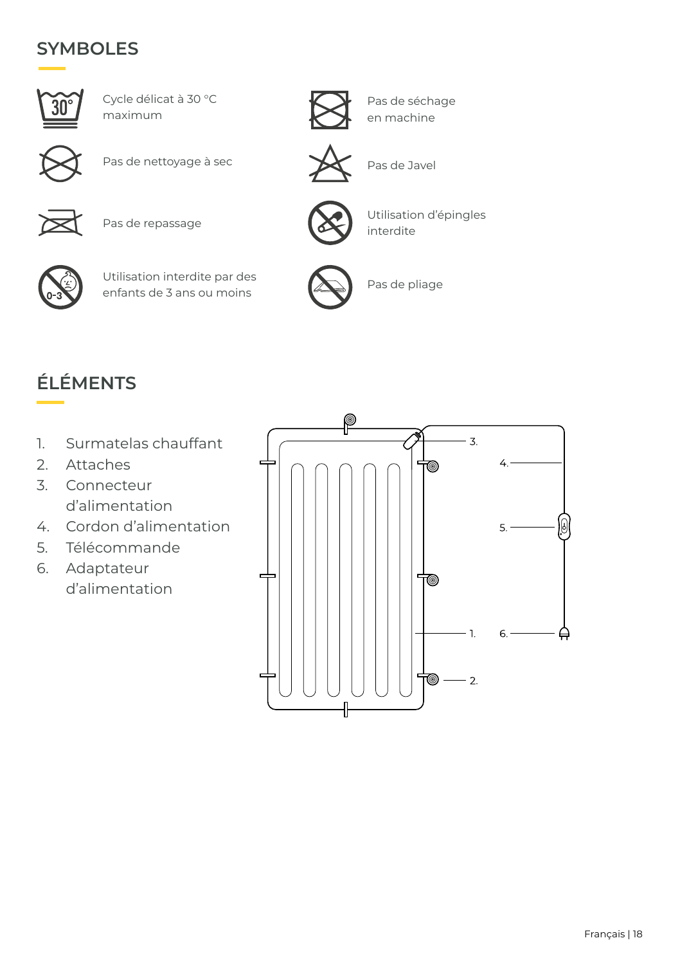#### **SYMBOLES**



Cycle délicat à 30 °C maximum



Pas de nettoyage à sec <br>
Pas de Javel



Pas de repassage



Utilisation interdite par des enfants de 3 ans ou moins



Pas de séchage en machine





Utilisation d'épingles interdite



Pas de pliage

## **ÉLÉMENTS**

- 1. Surmatelas chauffant
- 2. Attaches
- 3. Connecteur d'alimentation
- 4. Cordon d'alimentation
- 5. Télécommande
- 6. Adaptateur d'alimentation

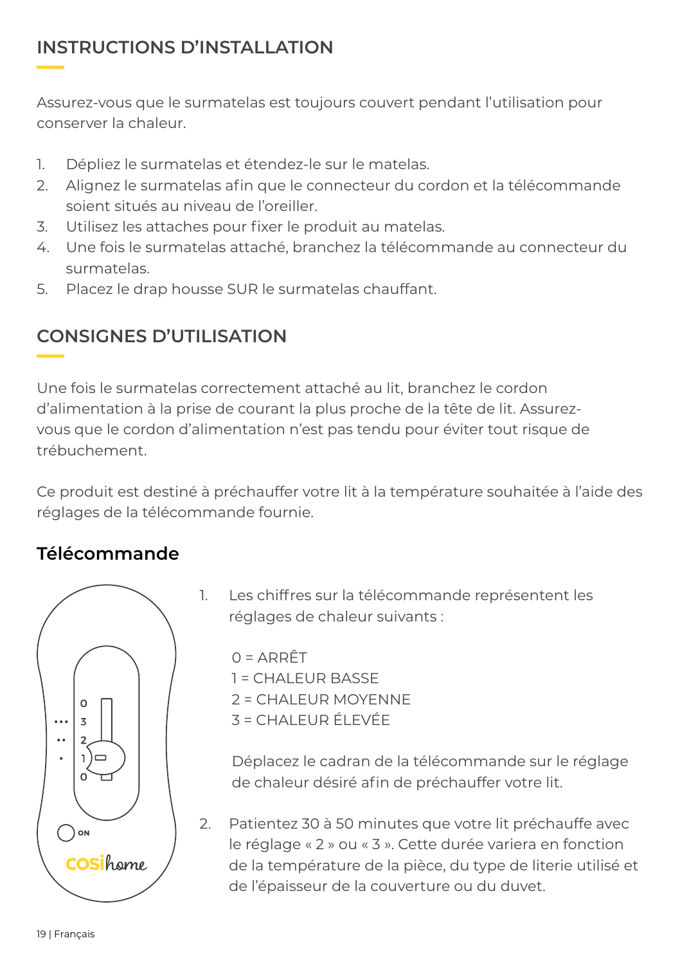#### **INSTRUCTIONS D'INSTALLATION**

Assurez-vous que le surmatelas est toujours couvert pendant l'utilisation pour conserver la chaleur.

- 1. Dépliez le surmatelas et étendez-le sur le matelas.
- 2. Alignez le surmatelas afin que le connecteur du cordon et la télécommande soient situés au niveau de l'oreiller.
- 3. Utilisez les attaches pour fixer le produit au matelas.
- 4. Une fois le surmatelas attaché, branchez la télécommande au connecteur du surmatelas.
- 5. Placez le drap housse SUR le surmatelas chauffant.

### **CONSIGNES D'UTILISATION**

Une fois le surmatelas correctement attaché au lit, branchez le cordon d'alimentation à la prise de courant la plus proche de la tête de lit. Assurezvous que le cordon d'alimentation n'est pas tendu pour éviter tout risque de trébuchement.

Ce produit est destiné à préchauffer votre lit à la température souhaitée à l'aide des réglages de la télécommande fournie.

#### **Télécommande**



1. Les chiffres sur la télécommande représentent les réglages de chaleur suivants :

 $0 = ARRÊT$ 1 = CHALEUR BASSE 2 = CHALEUR MOYENNE 3 = CHALEUR ÉLEVÉE

Déplacez le cadran de la télécommande sur le réglage de chaleur désiré afin de préchauffer votre lit.

2. Patientez 30 à 50 minutes que votre lit préchauffe avec le réglage « 2 » ou « 3 ». Cette durée variera en fonction de la température de la pièce, du type de literie utilisé et de l'épaisseur de la couverture ou du duvet.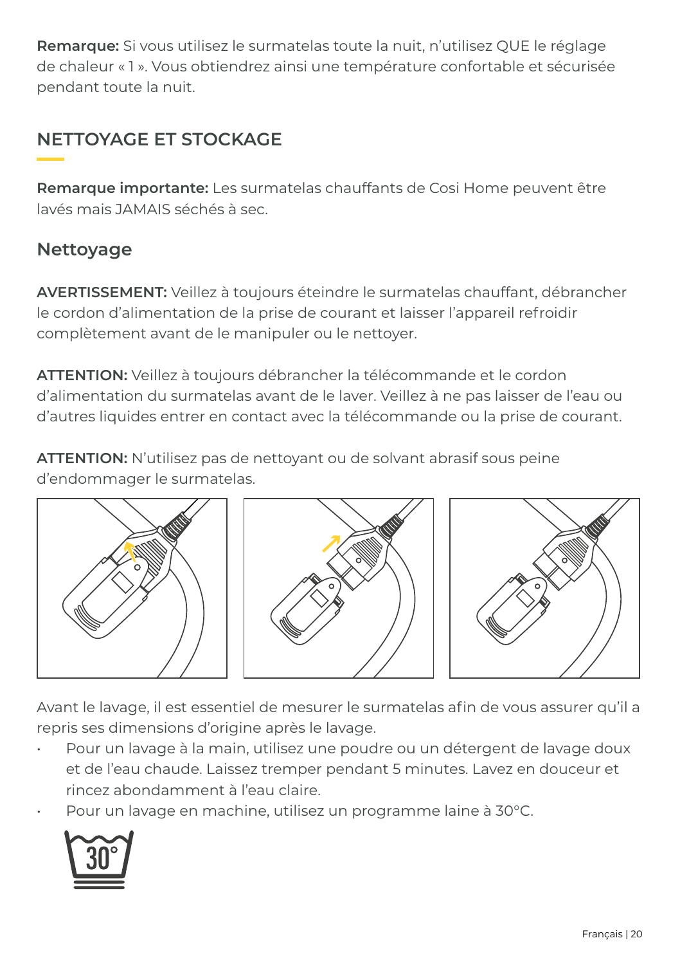**Remarque:** Si vous utilisez le surmatelas toute la nuit, n'utilisez QUE le réglage de chaleur « 1 ». Vous obtiendrez ainsi une température confortable et sécurisée pendant toute la nuit.

### **NETTOYAGE ET STOCKAGE**

**Remarque importante:** Les surmatelas chauffants de Cosi Home peuvent être lavés mais JAMAIS séchés à sec.

#### **Nettoyage**

**AVERTISSEMENT:** Veillez à toujours éteindre le surmatelas chauffant, débrancher le cordon d'alimentation de la prise de courant et laisser l'appareil refroidir complètement avant de le manipuler ou le nettoyer.

**ATTENTION:** Veillez à toujours débrancher la télécommande et le cordon d'alimentation du surmatelas avant de le laver. Veillez à ne pas laisser de l'eau ou d'autres liquides entrer en contact avec la télécommande ou la prise de courant.

**ATTENTION:** N'utilisez pas de nettoyant ou de solvant abrasif sous peine d'endommager le surmatelas.



Avant le lavage, il est essentiel de mesurer le surmatelas afin de vous assurer qu'il a repris ses dimensions d'origine après le lavage.

- Pour un lavage à la main, utilisez une poudre ou un détergent de lavage doux et de l'eau chaude. Laissez tremper pendant 5 minutes. Lavez en douceur et rincez abondamment à l'eau claire.
- Pour un lavage en machine, utilisez un programme laine à 30°C.

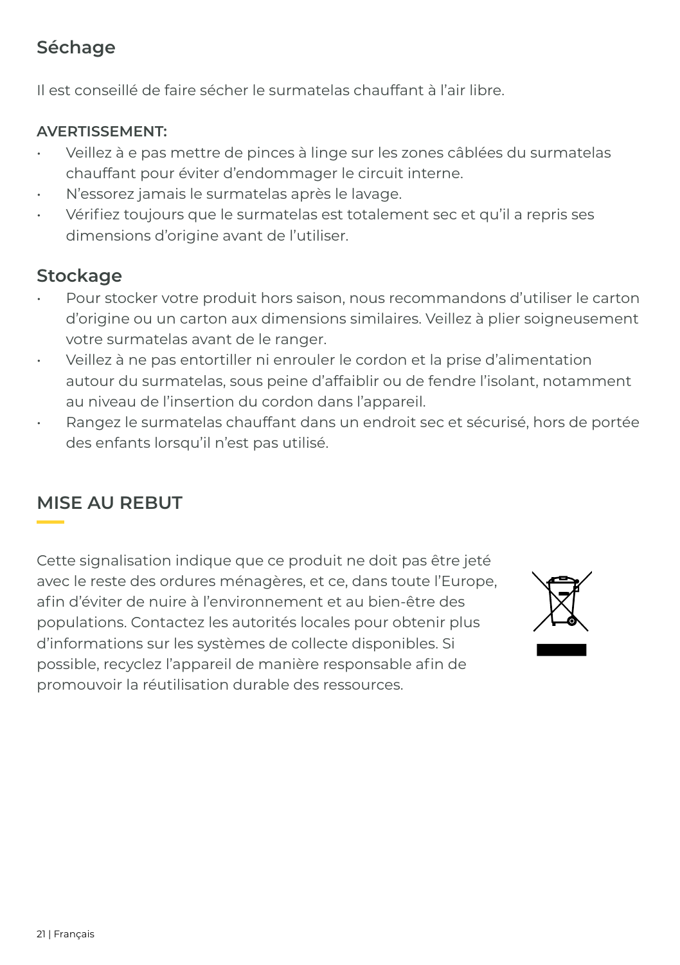#### **Séchage**

Il est conseillé de faire sécher le surmatelas chauffant à l'air libre.

#### **AVERTISSEMENT:**

- Veillez à e pas mettre de pinces à linge sur les zones câblées du surmatelas chauffant pour éviter d'endommager le circuit interne.
- N'essorez jamais le surmatelas après le lavage.
- Vérifiez toujours que le surmatelas est totalement sec et qu'il a repris ses dimensions d'origine avant de l'utiliser.

#### **Stockage**

- Pour stocker votre produit hors saison, nous recommandons d'utiliser le carton d'origine ou un carton aux dimensions similaires. Veillez à plier soigneusement votre surmatelas avant de le ranger.
- Veillez à ne pas entortiller ni enrouler le cordon et la prise d'alimentation autour du surmatelas, sous peine d'affaiblir ou de fendre l'isolant, notamment au niveau de l'insertion du cordon dans l'appareil.
- Rangez le surmatelas chauffant dans un endroit sec et sécurisé, hors de portée des enfants lorsqu'il n'est pas utilisé.

#### **MISE AU REBUT**

Cette signalisation indique que ce produit ne doit pas être jeté avec le reste des ordures ménagères, et ce, dans toute l'Europe, afin d'éviter de nuire à l'environnement et au bien-être des populations. Contactez les autorités locales pour obtenir plus d'informations sur les systèmes de collecte disponibles. Si possible, recyclez l'appareil de manière responsable afin de promouvoir la réutilisation durable des ressources.

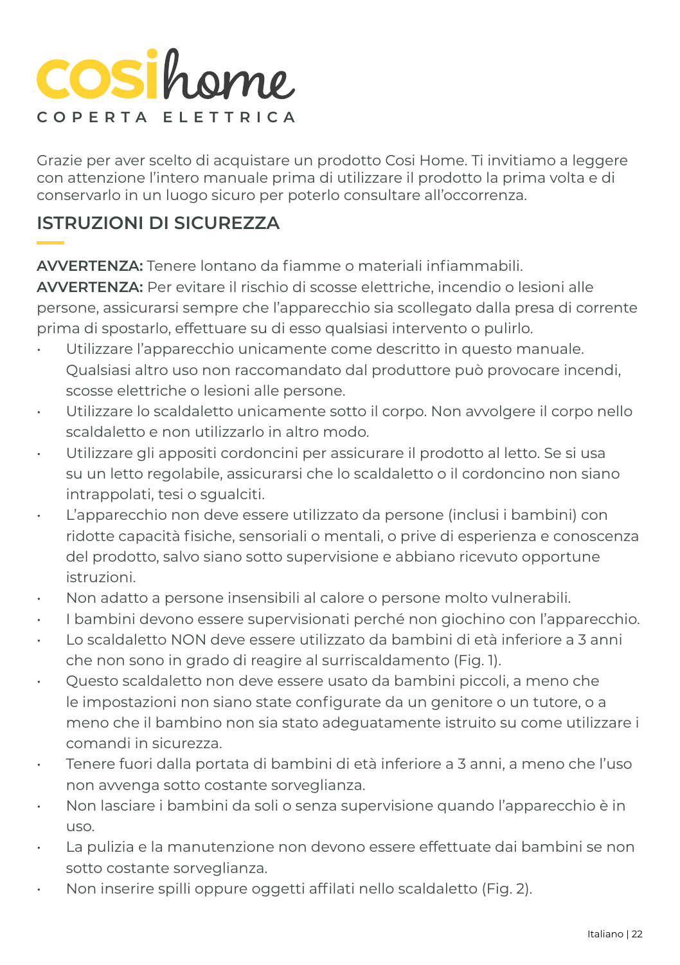## **COSi**home **COPERTA ELETTRICA**

Grazie per aver scelto di acquistare un prodotto Cosi Home. Ti invitiamo a leggere con attenzione l'intero manuale prima di utilizzare il prodotto la prima volta e di conservarlo in un luogo sicuro per poterlo consultare all'occorrenza.

#### **ISTRUZIONI DI SICUREZZA**

**AVVERTENZA:** Tenere lontano da fiamme o materiali infiammabili.

**AVVERTENZA:** Per evitare il rischio di scosse elettriche, incendio o lesioni alle persone, assicurarsi sempre che l'apparecchio sia scollegato dalla presa di corrente prima di spostarlo, effettuare su di esso qualsiasi intervento o pulirlo.

- Utilizzare l'apparecchio unicamente come descritto in questo manuale. Qualsiasi altro uso non raccomandato dal produttore può provocare incendi, scosse elettriche o lesioni alle persone.
- Utilizzare lo scaldaletto unicamente sotto il corpo. Non avvolgere il corpo nello scaldaletto e non utilizzarlo in altro modo.
- Utilizzare gli appositi cordoncini per assicurare il prodotto al letto. Se si usa su un letto regolabile, assicurarsi che lo scaldaletto o il cordoncino non siano intrappolati, tesi o sgualciti.
- L'apparecchio non deve essere utilizzato da persone (inclusi i bambini) con ridotte capacità fisiche, sensoriali o mentali, o prive di esperienza e conoscenza del prodotto, salvo siano sotto supervisione e abbiano ricevuto opportune istruzioni.
- Non adatto a persone insensibili al calore o persone molto vulnerabili.
- I bambini devono essere supervisionati perché non giochino con l'apparecchio.
- Lo scaldaletto NON deve essere utilizzato da bambini di età inferiore a 3 anni che non sono in grado di reagire al surriscaldamento (Fig. 1).
- Questo scaldaletto non deve essere usato da bambini piccoli, a meno che le impostazioni non siano state configurate da un genitore o un tutore, o a meno che il bambino non sia stato adeguatamente istruito su come utilizzare i comandi in sicurezza.
- Tenere fuori dalla portata di bambini di età inferiore a 3 anni, a meno che l'uso non avvenga sotto costante sorveglianza.
- Non lasciare i bambini da soli o senza supervisione quando l'apparecchio è in uso.
- La pulizia e la manutenzione non devono essere effettuate dai bambini se non sotto costante sorveglianza.
- Non inserire spilli oppure oggetti affilati nello scaldaletto (Fig. 2).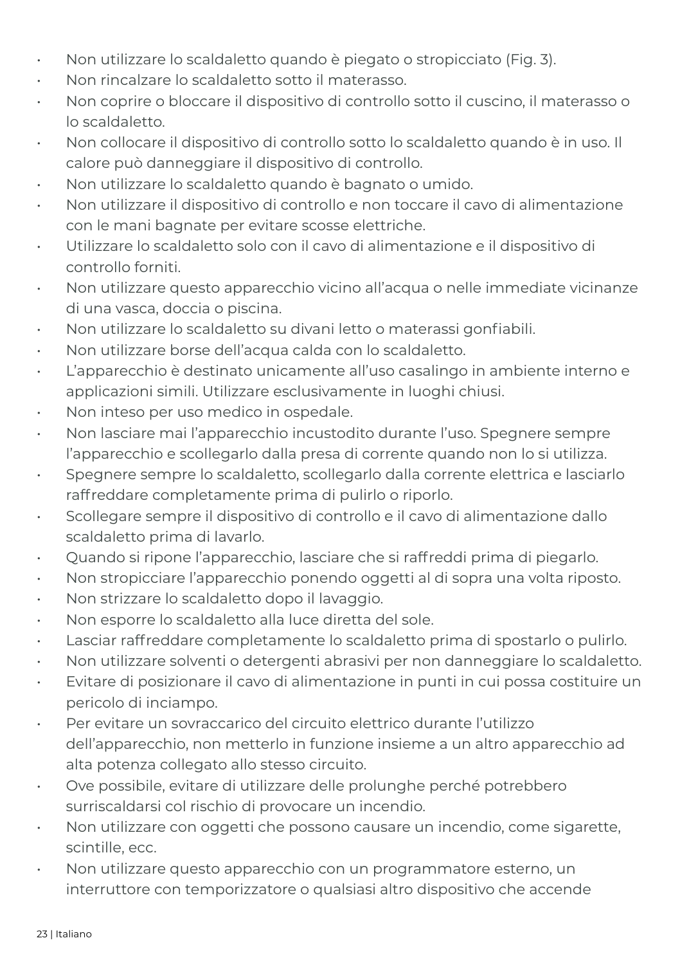- Non utilizzare lo scaldaletto quando è piegato o stropicciato (Fig. 3).
- Non rincalzare lo scaldaletto sotto il materasso.
- Non coprire o bloccare il dispositivo di controllo sotto il cuscino, il materasso o lo scaldaletto.
- Non collocare il dispositivo di controllo sotto lo scaldaletto quando è in uso. Il calore può danneggiare il dispositivo di controllo.
- Non utilizzare lo scaldaletto quando è bagnato o umido.
- Non utilizzare il dispositivo di controllo e non toccare il cavo di alimentazione con le mani bagnate per evitare scosse elettriche.
- Utilizzare lo scaldaletto solo con il cavo di alimentazione e il dispositivo di controllo forniti.
- Non utilizzare questo apparecchio vicino all'acqua o nelle immediate vicinanze di una vasca, doccia o piscina.
- Non utilizzare lo scaldaletto su divani letto o materassi gonfiabili.
- Non utilizzare borse dell'acqua calda con lo scaldaletto.
- L'apparecchio è destinato unicamente all'uso casalingo in ambiente interno e applicazioni simili. Utilizzare esclusivamente in luoghi chiusi.
- Non inteso per uso medico in ospedale.
- Non lasciare mai l'apparecchio incustodito durante l'uso. Spegnere sempre l'apparecchio e scollegarlo dalla presa di corrente quando non lo si utilizza.
- Spegnere sempre lo scaldaletto, scollegarlo dalla corrente elettrica e lasciarlo raffreddare completamente prima di pulirlo o riporlo.
- Scollegare sempre il dispositivo di controllo e il cavo di alimentazione dallo scaldaletto prima di lavarlo.
- Quando si ripone l'apparecchio, lasciare che si raffreddi prima di piegarlo.
- Non stropicciare l'apparecchio ponendo oggetti al di sopra una volta riposto.
- Non strizzare lo scaldaletto dopo il lavaggio.
- Non esporre lo scaldaletto alla luce diretta del sole.
- Lasciar raffreddare completamente lo scaldaletto prima di spostarlo o pulirlo.
- Non utilizzare solventi o detergenti abrasivi per non danneggiare lo scaldaletto.
- Evitare di posizionare il cavo di alimentazione in punti in cui possa costituire un pericolo di inciampo.
- Per evitare un sovraccarico del circuito elettrico durante l'utilizzo dell'apparecchio, non metterlo in funzione insieme a un altro apparecchio ad alta potenza collegato allo stesso circuito.
- Ove possibile, evitare di utilizzare delle prolunghe perché potrebbero surriscaldarsi col rischio di provocare un incendio.
- Non utilizzare con oggetti che possono causare un incendio, come sigarette, scintille, ecc.
- Non utilizzare questo apparecchio con un programmatore esterno, un interruttore con temporizzatore o qualsiasi altro dispositivo che accende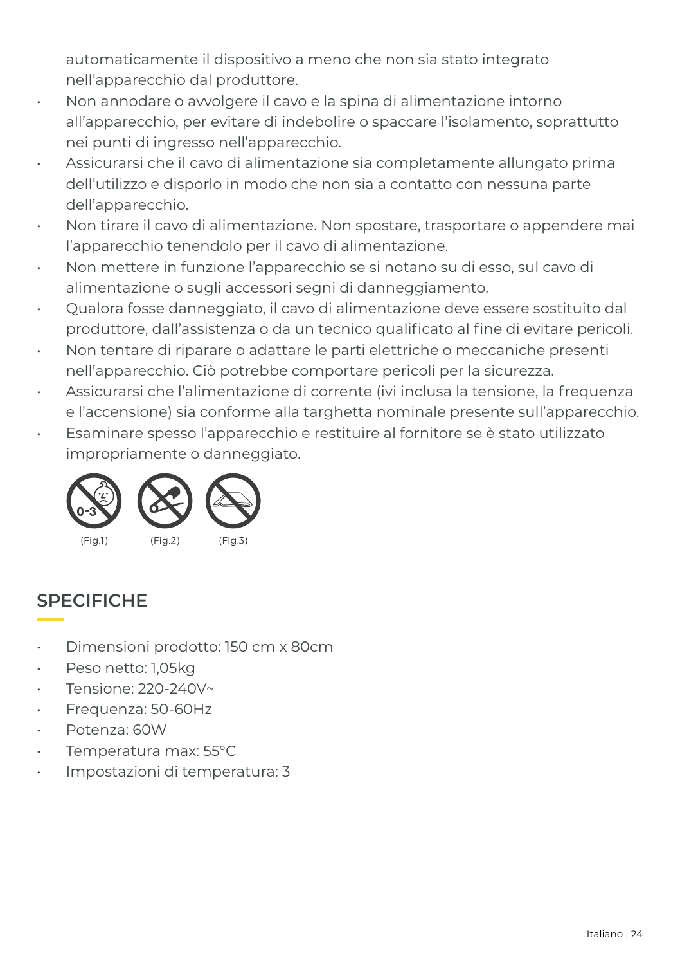automaticamente il dispositivo a meno che non sia stato integrato nell'apparecchio dal produttore.

- Non annodare o avvolgere il cavo e la spina di alimentazione intorno all'apparecchio, per evitare di indebolire o spaccare l'isolamento, soprattutto nei punti di ingresso nell'apparecchio.
- Assicurarsi che il cavo di alimentazione sia completamente allungato prima dell'utilizzo e disporlo in modo che non sia a contatto con nessuna parte dell'apparecchio.
- Non tirare il cavo di alimentazione. Non spostare, trasportare o appendere mai l'apparecchio tenendolo per il cavo di alimentazione.
- Non mettere in funzione l'apparecchio se si notano su di esso, sul cavo di alimentazione o sugli accessori segni di danneggiamento.
- Qualora fosse danneggiato, il cavo di alimentazione deve essere sostituito dal produttore, dall'assistenza o da un tecnico qualificato al fine di evitare pericoli.
- Non tentare di riparare o adattare le parti elettriche o meccaniche presenti nell'apparecchio. Ciò potrebbe comportare pericoli per la sicurezza.
- Assicurarsi che l'alimentazione di corrente (ivi inclusa la tensione, la frequenza e l'accensione) sia conforme alla targhetta nominale presente sull'apparecchio.
- Esaminare spesso l'apparecchio e restituire al fornitore se è stato utilizzato impropriamente o danneggiato.



### **SPECIFICHE**

- Dimensioni prodotto: 150 cm x 80cm
- Peso netto: 1,05kg
- Tensione: 220-240V~
- Frequenza: 50-60Hz
- Potenza: 60W
- Temperatura max: 55°C
- Impostazioni di temperatura: 3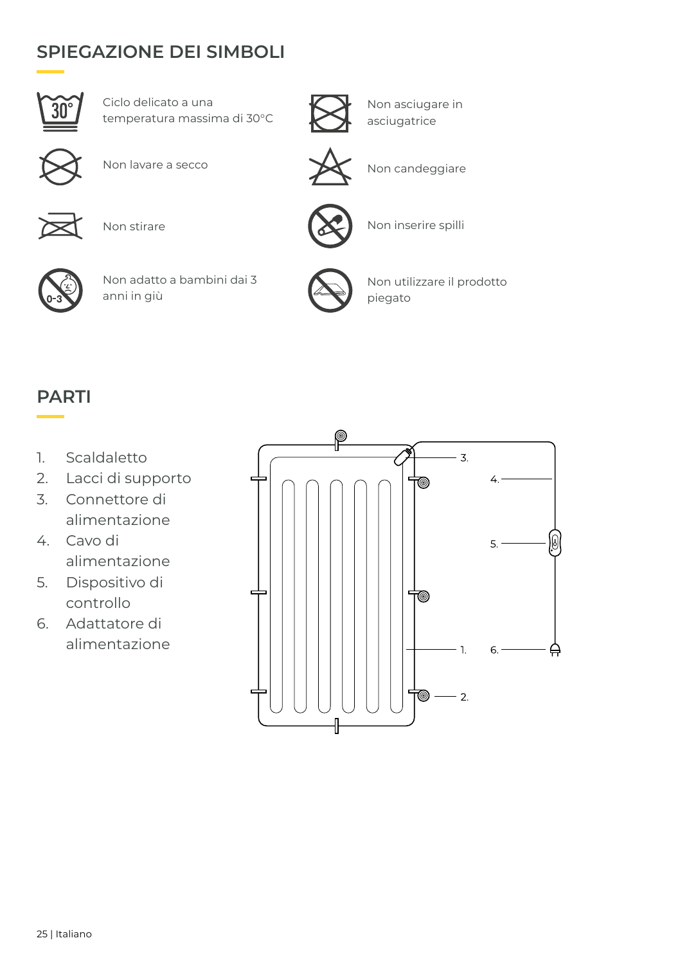#### **SPIEGAZIONE DEI SIMBOLI**



Ciclo delicato a una temperatura massima di 30°C



Non asciugare in asciugatrice





Non lavare a secco $\setminus$  Non candeggiare



Non stirare



Non inserire spilli



Non adatto a bambini dai 3 anni in giù



Non utilizzare il prodotto piegato

#### **PARTI**

- 1. Scaldaletto
- 2. Lacci di supporto
- 3. Connettore di alimentazione
- 4. Cavo di alimentazione
- 5. Dispositivo di controllo
- 6. Adattatore di alimentazione

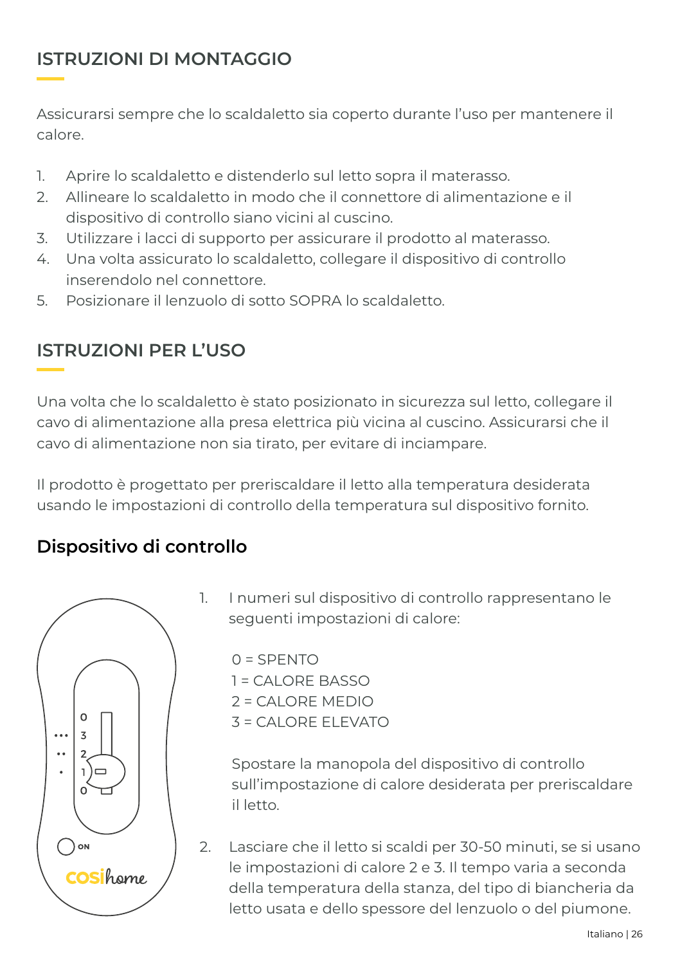#### **ISTRUZIONI DI MONTAGGIO**

Assicurarsi sempre che lo scaldaletto sia coperto durante l'uso per mantenere il calore.

- 1. Aprire lo scaldaletto e distenderlo sul letto sopra il materasso.
- 2. Allineare lo scaldaletto in modo che il connettore di alimentazione e il dispositivo di controllo siano vicini al cuscino.
- 3. Utilizzare i lacci di supporto per assicurare il prodotto al materasso.
- 4. Una volta assicurato lo scaldaletto, collegare il dispositivo di controllo inserendolo nel connettore.
- 5. Posizionare il lenzuolo di sotto SOPRA lo scaldaletto.

#### **ISTRUZIONI PER L'USO**

Una volta che lo scaldaletto è stato posizionato in sicurezza sul letto, collegare il cavo di alimentazione alla presa elettrica più vicina al cuscino. Assicurarsi che il cavo di alimentazione non sia tirato, per evitare di inciampare.

Il prodotto è progettato per preriscaldare il letto alla temperatura desiderata usando le impostazioni di controllo della temperatura sul dispositivo fornito.

#### **Dispositivo di controllo**



1. I numeri sul dispositivo di controllo rappresentano le seguenti impostazioni di calore:

 $0 =$ SPENTO  $1 = CA$ LORE BASSO 2 = CALORE MEDIO 3 = CALORE ELEVATO

Spostare la manopola del dispositivo di controllo sull'impostazione di calore desiderata per preriscaldare il letto.

2. Lasciare che il letto si scaldi per 30-50 minuti, se si usano le impostazioni di calore 2 e 3. Il tempo varia a seconda della temperatura della stanza, del tipo di biancheria da letto usata e dello spessore del lenzuolo o del piumone.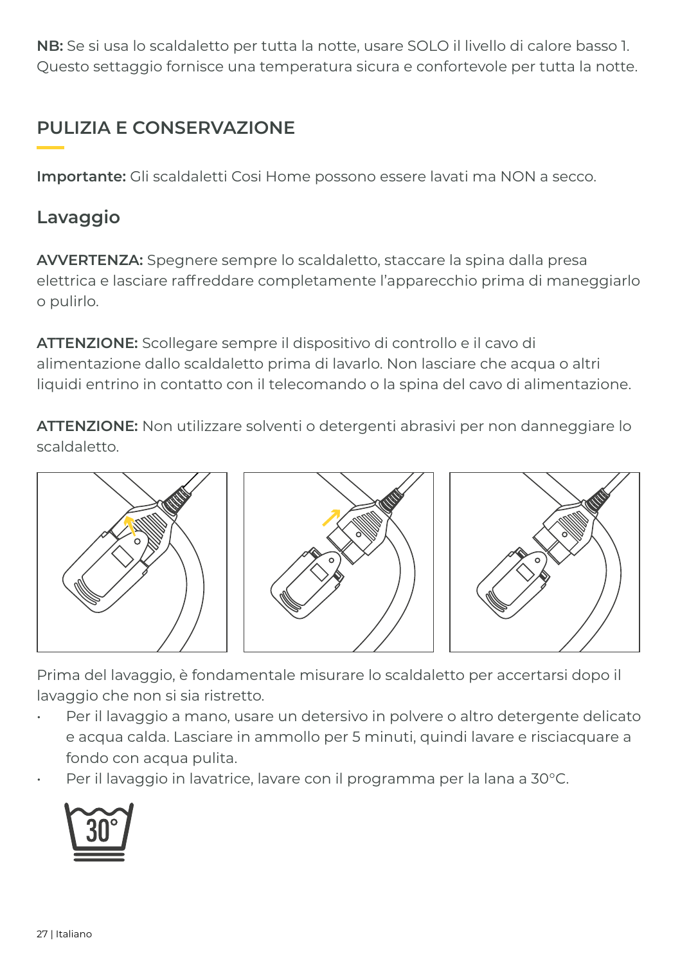**NB:** Se si usa lo scaldaletto per tutta la notte, usare SOLO il livello di calore basso 1. Questo settaggio fornisce una temperatura sicura e confortevole per tutta la notte.

### **PULIZIA E CONSERVAZIONE**

**Importante:** Gli scaldaletti Cosi Home possono essere lavati ma NON a secco.

#### **Lavaggio**

**AVVERTENZA:** Spegnere sempre lo scaldaletto, staccare la spina dalla presa elettrica e lasciare raffreddare completamente l'apparecchio prima di maneggiarlo o pulirlo.

**ATTENZIONE:** Scollegare sempre il dispositivo di controllo e il cavo di alimentazione dallo scaldaletto prima di lavarlo. Non lasciare che acqua o altri liquidi entrino in contatto con il telecomando o la spina del cavo di alimentazione.

**ATTENZIONE:** Non utilizzare solventi o detergenti abrasivi per non danneggiare lo scaldaletto.



Prima del lavaggio, è fondamentale misurare lo scaldaletto per accertarsi dopo il lavaggio che non si sia ristretto.

- Per il lavaggio a mano, usare un detersivo in polvere o altro detergente delicato e acqua calda. Lasciare in ammollo per 5 minuti, quindi lavare e risciacquare a fondo con acqua pulita.
- Per il lavaggio in lavatrice, lavare con il programma per la lana a 30°C.

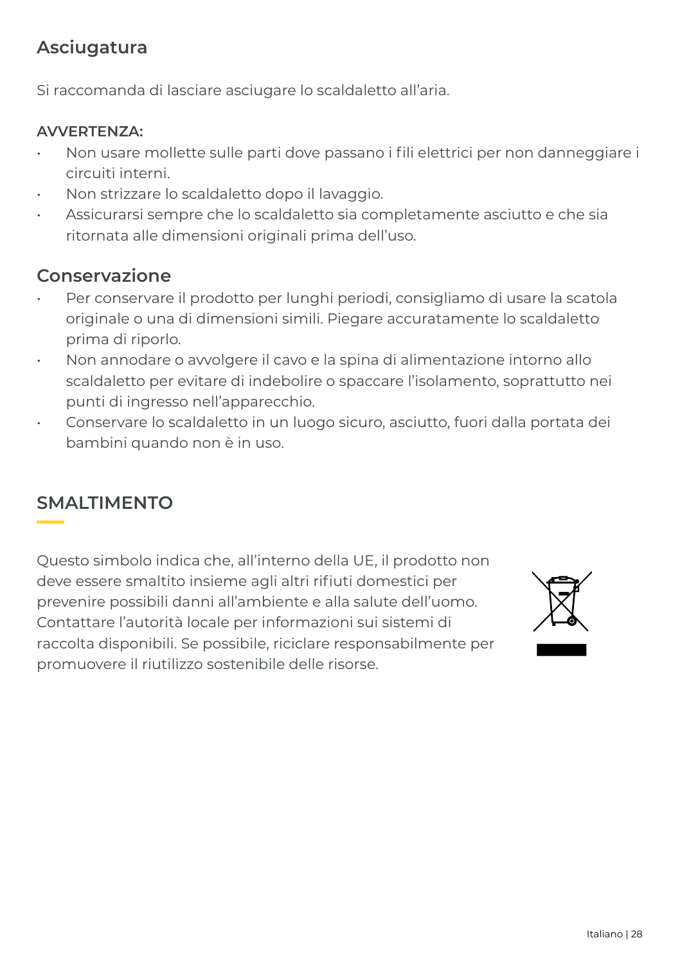#### **Asciugatura**

Si raccomanda di lasciare asciugare lo scaldaletto all'aria.

#### **AVVERTENZA:**

- Non usare mollette sulle parti dove passano i fili elettrici per non danneggiare i circuiti interni.
- Non strizzare lo scaldaletto dopo il lavaggio.
- Assicurarsi sempre che lo scaldaletto sia completamente asciutto e che sia ritornata alle dimensioni originali prima dell'uso.

#### **Conservazione**

- Per conservare il prodotto per lunghi periodi, consigliamo di usare la scatola originale o una di dimensioni simili. Piegare accuratamente lo scaldaletto prima di riporlo.
- Non annodare o avvolgere il cavo e la spina di alimentazione intorno allo scaldaletto per evitare di indebolire o spaccare l'isolamento, soprattutto nei punti di ingresso nell'apparecchio.
- Conservare lo scaldaletto in un luogo sicuro, asciutto, fuori dalla portata dei bambini quando non è in uso.

#### **SMALTIMENTO**

Questo simbolo indica che, all'interno della UE, il prodotto non deve essere smaltito insieme agli altri rifiuti domestici per prevenire possibili danni all'ambiente e alla salute dell'uomo. Contattare l'autorità locale per informazioni sui sistemi di raccolta disponibili. Se possibile, riciclare responsabilmente per promuovere il riutilizzo sostenibile delle risorse.

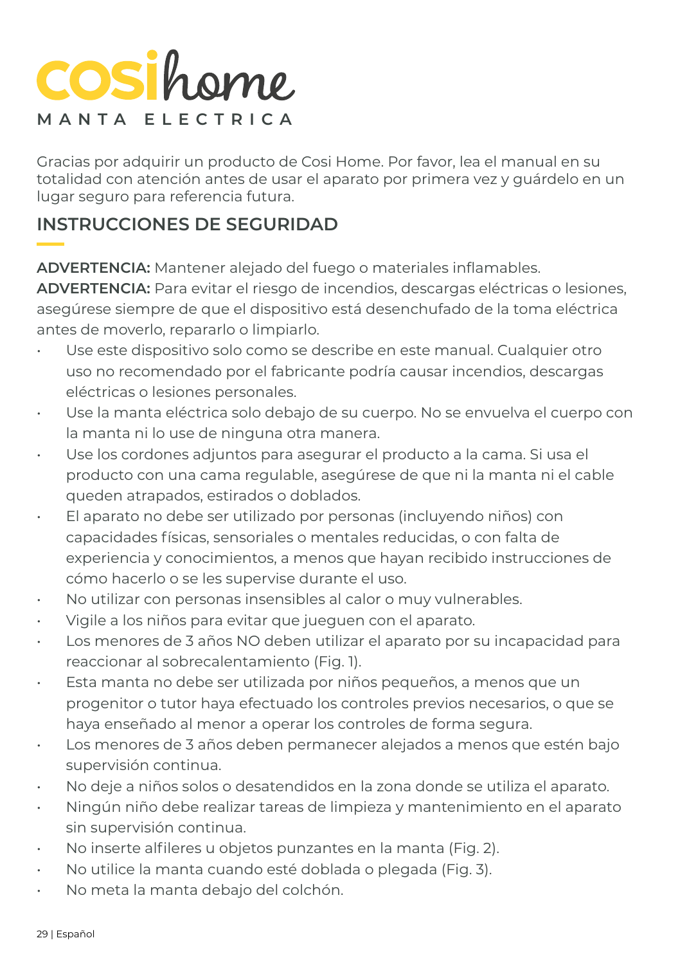## COSihome **MANTA ELECTRICA**

Gracias por adquirir un producto de Cosi Home. Por favor, lea el manual en su totalidad con atención antes de usar el aparato por primera vez y guárdelo en un lugar seguro para referencia futura.

#### **INSTRUCCIONES DE SEGURIDAD**

**ADVERTENCIA:** Mantener alejado del fuego o materiales inflamables.

**ADVERTENCIA:** Para evitar el riesgo de incendios, descargas eléctricas o lesiones, asegúrese siempre de que el dispositivo está desenchufado de la toma eléctrica antes de moverlo, repararlo o limpiarlo.

- Use este dispositivo solo como se describe en este manual. Cualquier otro uso no recomendado por el fabricante podría causar incendios, descargas eléctricas o lesiones personales.
- Use la manta eléctrica solo debajo de su cuerpo. No se envuelva el cuerpo con la manta ni lo use de ninguna otra manera.
- Use los cordones adjuntos para asegurar el producto a la cama. Si usa el producto con una cama regulable, asegúrese de que ni la manta ni el cable queden atrapados, estirados o doblados.
- El aparato no debe ser utilizado por personas (incluyendo niños) con capacidades físicas, sensoriales o mentales reducidas, o con falta de experiencia y conocimientos, a menos que hayan recibido instrucciones de cómo hacerlo o se les supervise durante el uso.
- No utilizar con personas insensibles al calor o muy vulnerables.
- Vigile a los niños para evitar que jueguen con el aparato.
- Los menores de 3 años NO deben utilizar el aparato por su incapacidad para reaccionar al sobrecalentamiento (Fig. 1).
- Esta manta no debe ser utilizada por niños pequeños, a menos que un progenitor o tutor haya efectuado los controles previos necesarios, o que se haya enseñado al menor a operar los controles de forma segura.
- Los menores de 3 años deben permanecer alejados a menos que estén bajo supervisión continua.
- No deje a niños solos o desatendidos en la zona donde se utiliza el aparato.
- Ningún niño debe realizar tareas de limpieza y mantenimiento en el aparato sin supervisión continua.
- No inserte alfileres u objetos punzantes en la manta (Fig. 2).
- No utilice la manta cuando esté doblada o plegada (Fig. 3).
- No meta la manta debajo del colchón.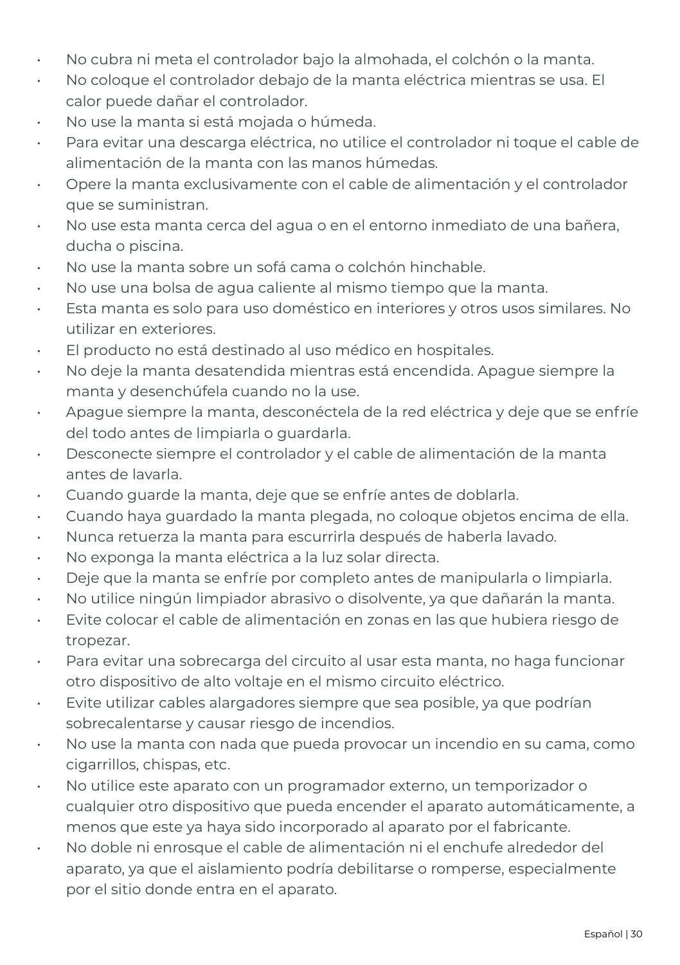- No cubra ni meta el controlador bajo la almohada, el colchón o la manta.
- No coloque el controlador debajo de la manta eléctrica mientras se usa. El calor puede dañar el controlador.
- No use la manta si está mojada o húmeda.
- Para evitar una descarga eléctrica, no utilice el controlador ni toque el cable de alimentación de la manta con las manos húmedas.
- Opere la manta exclusivamente con el cable de alimentación y el controlador que se suministran.
- No use esta manta cerca del agua o en el entorno inmediato de una bañera, ducha o piscina.
- No use la manta sobre un sofá cama o colchón hinchable.
- No use una bolsa de agua caliente al mismo tiempo que la manta.
- Esta manta es solo para uso doméstico en interiores y otros usos similares. No utilizar en exteriores.
- El producto no está destinado al uso médico en hospitales.
- No deje la manta desatendida mientras está encendida. Apague siempre la manta y desenchúfela cuando no la use.
- Apague siempre la manta, desconéctela de la red eléctrica y deje que se enfríe del todo antes de limpiarla o guardarla.
- Desconecte siempre el controlador y el cable de alimentación de la manta antes de lavarla.
- Cuando guarde la manta, deje que se enfríe antes de doblarla.
- Cuando haya guardado la manta plegada, no coloque objetos encima de ella.
- Nunca retuerza la manta para escurrirla después de haberla lavado.
- No exponga la manta eléctrica a la luz solar directa.
- Deje que la manta se enfríe por completo antes de manipularla o limpiarla.
- No utilice ningún limpiador abrasivo o disolvente, ya que dañarán la manta.
- Evite colocar el cable de alimentación en zonas en las que hubiera riesgo de tropezar.
- Para evitar una sobrecarga del circuito al usar esta manta, no haga funcionar otro dispositivo de alto voltaje en el mismo circuito eléctrico.
- Evite utilizar cables alargadores siempre que sea posible, ya que podrían sobrecalentarse y causar riesgo de incendios.
- No use la manta con nada que pueda provocar un incendio en su cama, como cigarrillos, chispas, etc.
- No utilice este aparato con un programador externo, un temporizador o cualquier otro dispositivo que pueda encender el aparato automáticamente, a menos que este ya haya sido incorporado al aparato por el fabricante.
- No doble ni enrosque el cable de alimentación ni el enchufe alrededor del aparato, ya que el aislamiento podría debilitarse o romperse, especialmente por el sitio donde entra en el aparato.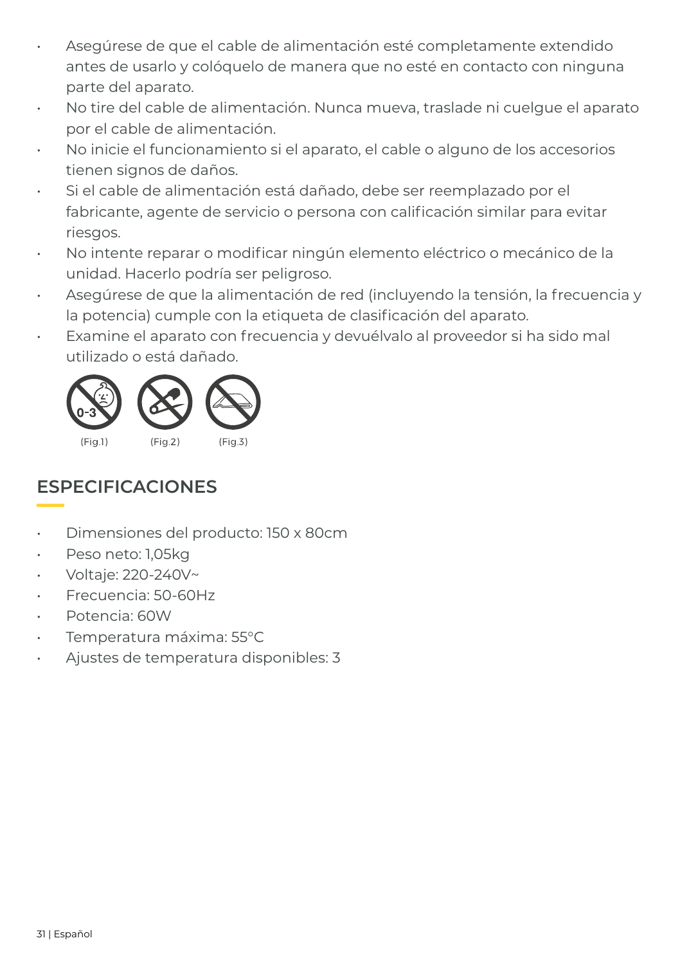- Asegúrese de que el cable de alimentación esté completamente extendido antes de usarlo y colóquelo de manera que no esté en contacto con ninguna parte del aparato.
- No tire del cable de alimentación. Nunca mueva, traslade ni cuelgue el aparato por el cable de alimentación.
- No inicie el funcionamiento si el aparato, el cable o alguno de los accesorios tienen signos de daños.
- Si el cable de alimentación está dañado, debe ser reemplazado por el fabricante, agente de servicio o persona con calificación similar para evitar riesgos.
- No intente reparar o modificar ningún elemento eléctrico o mecánico de la unidad. Hacerlo podría ser peligroso.
- Asegúrese de que la alimentación de red (incluyendo la tensión, la frecuencia y la potencia) cumple con la etiqueta de clasificación del aparato.
- Examine el aparato con frecuencia y devuélvalo al proveedor si ha sido mal utilizado o está dañado.



### **ESPECIFICACIONES**

- Dimensiones del producto: 150 x 80cm
- Peso neto: 1,05kg
- Voltaje: 220-240V~
- Frecuencia: 50-60Hz
- Potencia: 60W
- Temperatura máxima: 55°C
- Ajustes de temperatura disponibles: 3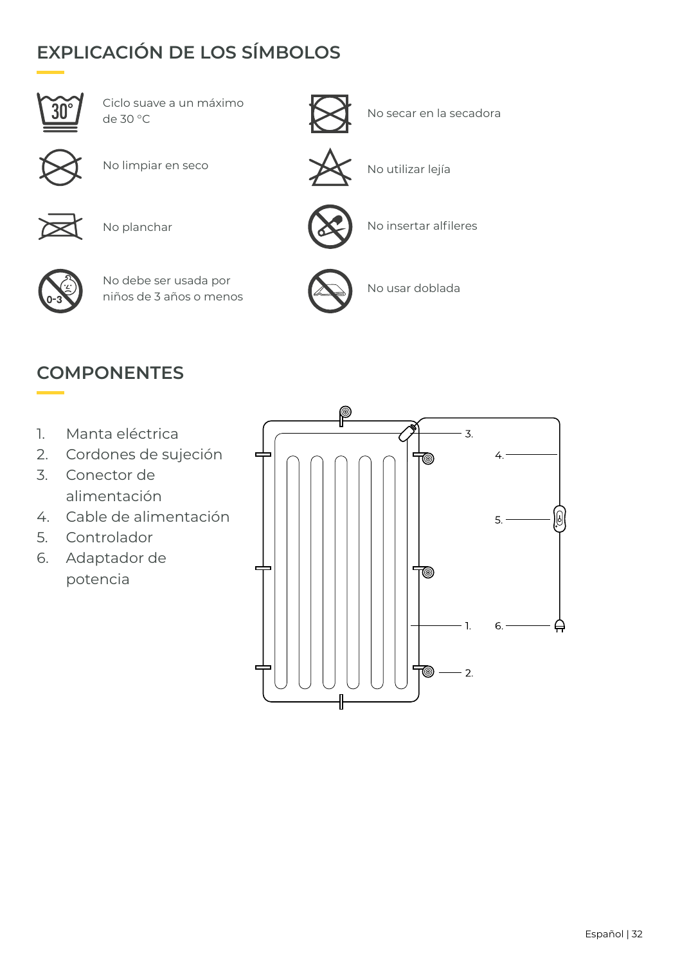## **EXPLICACIÓN DE LOS SÍMBOLOS**



Ciclo suave a un máximo<br>de 30 °C



No secar en la secadora



No limpiar en seco $\sum$  No utilizar lejía



No planchar



No debe ser usada por niños de 3 años o menos





No insertar alfileres



No usar doblada

#### **COMPONENTES**

- 1. Manta eléctrica
- 2. Cordones de sujeción
- 3. Conector de alimentación
- 4. Cable de alimentación
- 5. Controlador
- 6. Adaptador de potencia

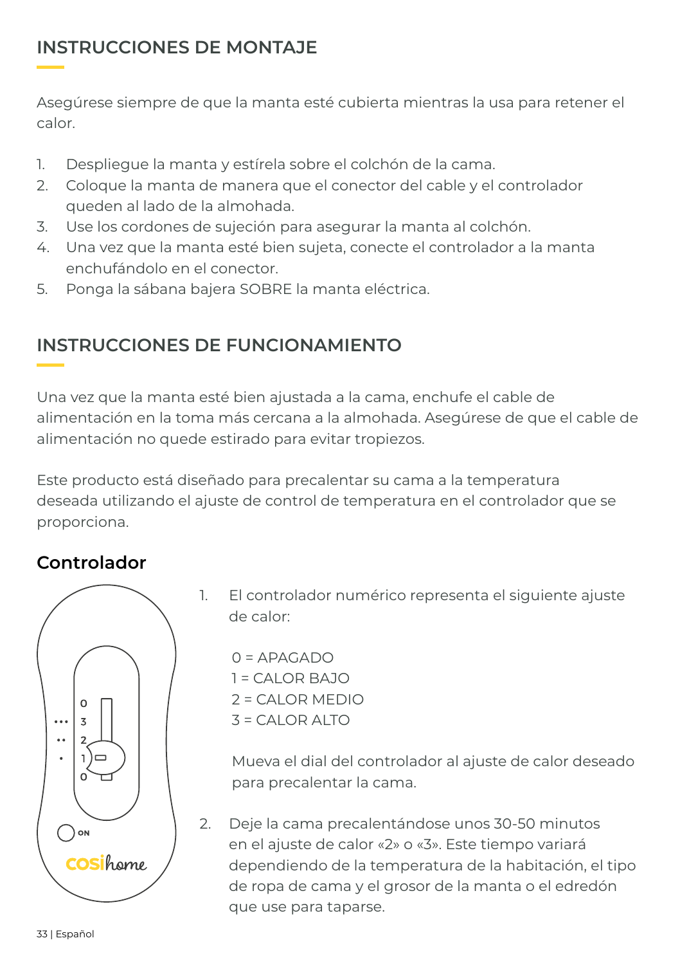#### **INSTRUCCIONES DE MONTAJE**

Asegúrese siempre de que la manta esté cubierta mientras la usa para retener el calor.

- 1. Despliegue la manta y estírela sobre el colchón de la cama.
- 2. Coloque la manta de manera que el conector del cable y el controlador queden al lado de la almohada.
- 3. Use los cordones de sujeción para asegurar la manta al colchón.
- 4. Una vez que la manta esté bien sujeta, conecte el controlador a la manta enchufándolo en el conector.
- 5. Ponga la sábana bajera SOBRE la manta eléctrica.

#### **INSTRUCCIONES DE FUNCIONAMIENTO**

Una vez que la manta esté bien ajustada a la cama, enchufe el cable de alimentación en la toma más cercana a la almohada. Asegúrese de que el cable de alimentación no quede estirado para evitar tropiezos.

Este producto está diseñado para precalentar su cama a la temperatura deseada utilizando el ajuste de control de temperatura en el controlador que se proporciona.

#### **Controlador**



1. El controlador numérico representa el siguiente ajuste de calor:

 $0 = APAGADO$ 1 = CALOR BAJO 2 = CALOR MEDIO  $3 = CA$  OR ALTO

Mueva el dial del controlador al ajuste de calor deseado para precalentar la cama.

2. Deje la cama precalentándose unos 30-50 minutos en el ajuste de calor «2» o «3». Este tiempo variará dependiendo de la temperatura de la habitación, el tipo de ropa de cama y el grosor de la manta o el edredón que use para taparse.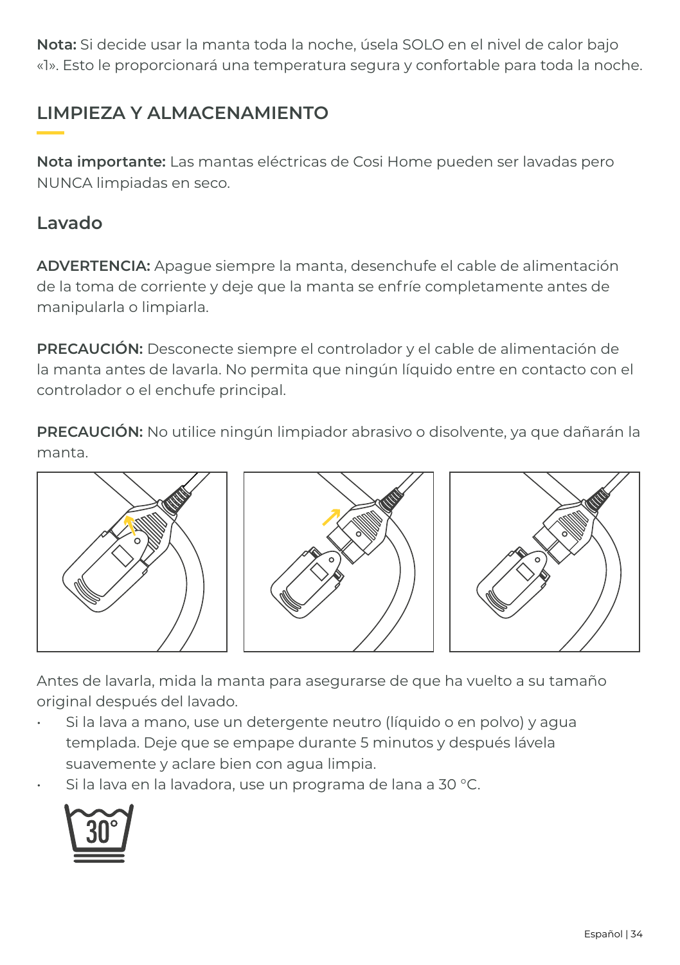**Nota:** Si decide usar la manta toda la noche, úsela SOLO en el nivel de calor bajo «1». Esto le proporcionará una temperatura segura y confortable para toda la noche.

#### **LIMPIEZA Y ALMACENAMIENTO**

**Nota importante:** Las mantas eléctricas de Cosi Home pueden ser lavadas pero NUNCA limpiadas en seco.

#### **Lavado**

**ADVERTENCIA:** Apague siempre la manta, desenchufe el cable de alimentación de la toma de corriente y deje que la manta se enfríe completamente antes de manipularla o limpiarla.

**PRECAUCIÓN:** Desconecte siempre el controlador y el cable de alimentación de la manta antes de lavarla. No permita que ningún líquido entre en contacto con el controlador o el enchufe principal.

**PRECAUCIÓN:** No utilice ningún limpiador abrasivo o disolvente, ya que dañarán la manta.



Antes de lavarla, mida la manta para asegurarse de que ha vuelto a su tamaño original después del lavado.

- Si la lava a mano, use un detergente neutro (líquido o en polvo) y agua templada. Deje que se empape durante 5 minutos y después lávela suavemente y aclare bien con agua limpia.
- Si la lava en la lavadora, use un programa de lana a 30 °C.

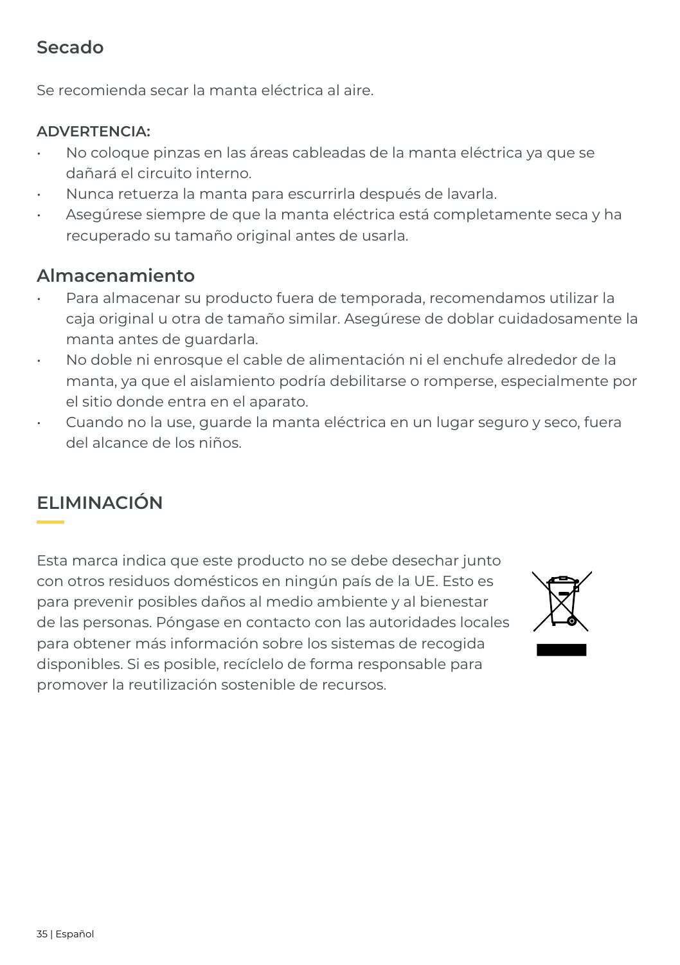#### **Secado**

Se recomienda secar la manta eléctrica al aire.

#### **ADVERTENCIA:**

- No coloque pinzas en las áreas cableadas de la manta eléctrica ya que se dañará el circuito interno.
- Nunca retuerza la manta para escurrirla después de lavarla.
- Asegúrese siempre de que la manta eléctrica está completamente seca y ha recuperado su tamaño original antes de usarla.

#### **Almacenamiento**

- Para almacenar su producto fuera de temporada, recomendamos utilizar la caja original u otra de tamaño similar. Asegúrese de doblar cuidadosamente la manta antes de guardarla.
- No doble ni enrosque el cable de alimentación ni el enchufe alrededor de la manta, ya que el aislamiento podría debilitarse o romperse, especialmente por el sitio donde entra en el aparato.
- Cuando no la use, guarde la manta eléctrica en un lugar seguro y seco, fuera del alcance de los niños.

### **ELIMINACIÓN**

Esta marca indica que este producto no se debe desechar junto con otros residuos domésticos en ningún país de la UE. Esto es para prevenir posibles daños al medio ambiente y al bienestar de las personas. Póngase en contacto con las autoridades locales para obtener más información sobre los sistemas de recogida disponibles. Si es posible, recíclelo de forma responsable para promover la reutilización sostenible de recursos.

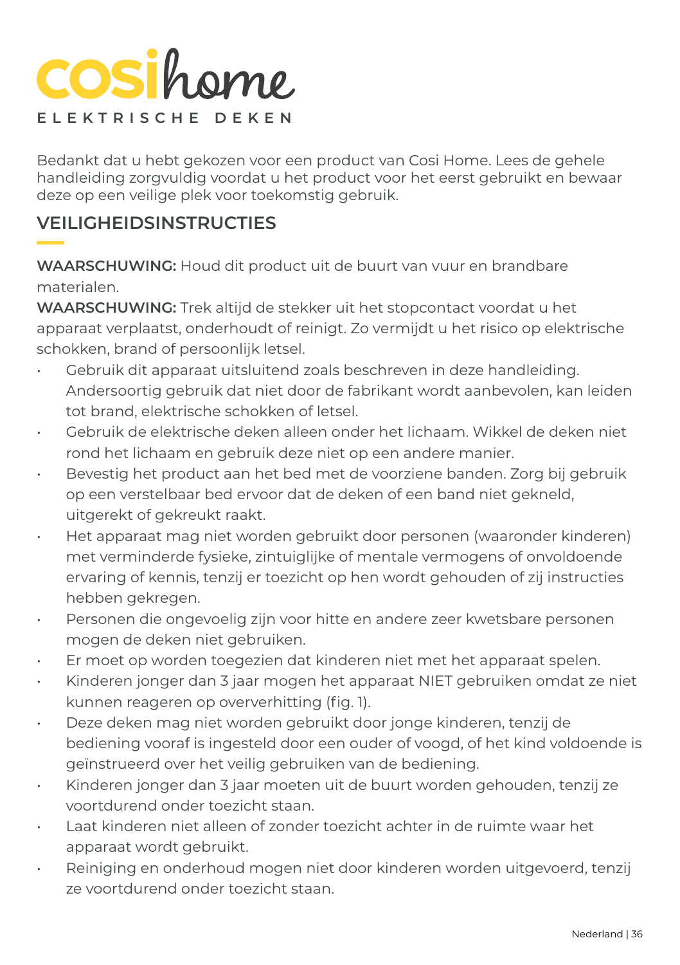## **COSi**home **ELEKTRISCHE DEKEN**

Bedankt dat u hebt gekozen voor een product van Cosi Home. Lees de gehele handleiding zorgvuldig voordat u het product voor het eerst gebruikt en bewaar deze op een veilige plek voor toekomstig gebruik.

#### **VEILIGHEIDSINSTRUCTIES**

**WAARSCHUWING:** Houd dit product uit de buurt van vuur en brandbare materialen.

**WAARSCHUWING:** Trek altijd de stekker uit het stopcontact voordat u het apparaat verplaatst, onderhoudt of reinigt. Zo vermijdt u het risico op elektrische schokken, brand of persoonlijk letsel.

- Gebruik dit apparaat uitsluitend zoals beschreven in deze handleiding. Andersoortig gebruik dat niet door de fabrikant wordt aanbevolen, kan leiden tot brand, elektrische schokken of letsel.
- Gebruik de elektrische deken alleen onder het lichaam. Wikkel de deken niet rond het lichaam en gebruik deze niet op een andere manier.
- Bevestig het product aan het bed met de voorziene banden. Zorg bij gebruik op een verstelbaar bed ervoor dat de deken of een band niet gekneld, uitgerekt of gekreukt raakt.
- Het apparaat mag niet worden gebruikt door personen (waaronder kinderen) met verminderde fysieke, zintuiglijke of mentale vermogens of onvoldoende ervaring of kennis, tenzij er toezicht op hen wordt gehouden of zij instructies hebben gekregen.
- Personen die ongevoelig zijn voor hitte en andere zeer kwetsbare personen mogen de deken niet gebruiken.
- Er moet op worden toegezien dat kinderen niet met het apparaat spelen.
- Kinderen jonger dan 3 jaar mogen het apparaat NIET gebruiken omdat ze niet kunnen reageren op oververhitting (fig. 1).
- Deze deken mag niet worden gebruikt door jonge kinderen, tenzij de bediening vooraf is ingesteld door een ouder of voogd, of het kind voldoende is geïnstrueerd over het veilig gebruiken van de bediening.
- Kinderen jonger dan 3 jaar moeten uit de buurt worden gehouden, tenzij ze voortdurend onder toezicht staan.
- Laat kinderen niet alleen of zonder toezicht achter in de ruimte waar het apparaat wordt gebruikt.
- Reiniging en onderhoud mogen niet door kinderen worden uitgevoerd, tenzij ze voortdurend onder toezicht staan.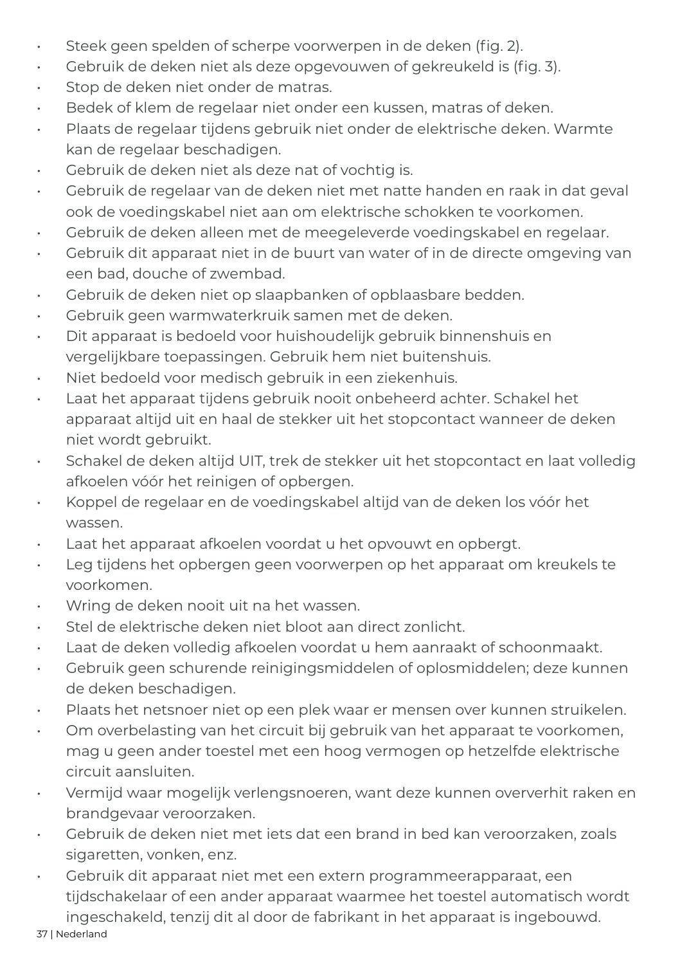- Steek geen spelden of scherpe voorwerpen in de deken (fig. 2).
- Gebruik de deken niet als deze opgevouwen of gekreukeld is (fig. 3).
- Stop de deken niet onder de matras.
- Bedek of klem de regelaar niet onder een kussen, matras of deken.
- Plaats de regelaar tijdens gebruik niet onder de elektrische deken. Warmte kan de regelaar beschadigen.
- Gebruik de deken niet als deze nat of vochtig is.
- Gebruik de regelaar van de deken niet met natte handen en raak in dat geval ook de voedingskabel niet aan om elektrische schokken te voorkomen.
- Gebruik de deken alleen met de meegeleverde voedingskabel en regelaar.
- Gebruik dit apparaat niet in de buurt van water of in de directe omgeving van een bad, douche of zwembad.
- Gebruik de deken niet op slaapbanken of opblaasbare bedden.
- Gebruik geen warmwaterkruik samen met de deken.
- Dit apparaat is bedoeld voor huishoudelijk gebruik binnenshuis en vergelijkbare toepassingen. Gebruik hem niet buitenshuis.
- Niet bedoeld voor medisch gebruik in een ziekenhuis.
- Laat het apparaat tijdens gebruik nooit onbeheerd achter. Schakel het apparaat altijd uit en haal de stekker uit het stopcontact wanneer de deken niet wordt gebruikt.
- Schakel de deken altijd UIT, trek de stekker uit het stopcontact en laat volledig afkoelen vóór het reinigen of opbergen.
- Koppel de regelaar en de voedingskabel altijd van de deken los vóór het wassen.
- Laat het apparaat afkoelen voordat u het opvouwt en opbergt.
- Leg tijdens het opbergen geen voorwerpen op het apparaat om kreukels te voorkomen.
- Wring de deken nooit uit na het wassen.
- Stel de elektrische deken niet bloot aan direct zonlicht.
- Laat de deken volledig afkoelen voordat u hem aanraakt of schoonmaakt.
- Gebruik geen schurende reinigingsmiddelen of oplosmiddelen; deze kunnen de deken beschadigen.
- Plaats het netsnoer niet op een plek waar er mensen over kunnen struikelen.
- Om overbelasting van het circuit bij gebruik van het apparaat te voorkomen, mag u geen ander toestel met een hoog vermogen op hetzelfde elektrische circuit aansluiten.
- Vermijd waar mogelijk verlengsnoeren, want deze kunnen oververhit raken en brandgevaar veroorzaken.
- Gebruik de deken niet met iets dat een brand in bed kan veroorzaken, zoals sigaretten, vonken, enz.
- Gebruik dit apparaat niet met een extern programmeerapparaat, een tijdschakelaar of een ander apparaat waarmee het toestel automatisch wordt ingeschakeld, tenzij dit al door de fabrikant in het apparaat is ingebouwd.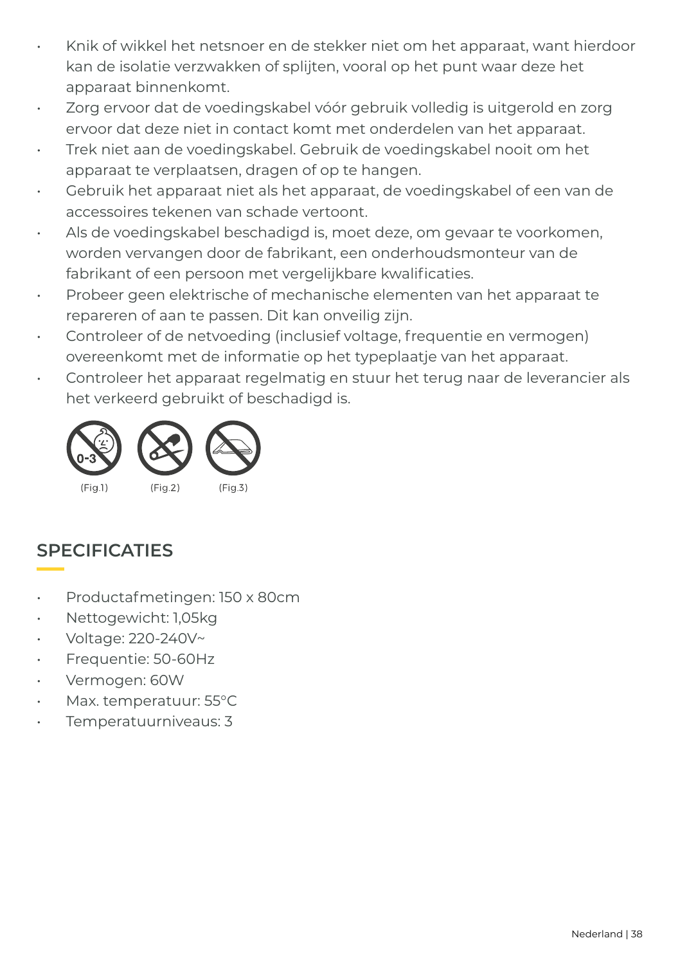- Knik of wikkel het netsnoer en de stekker niet om het apparaat, want hierdoor kan de isolatie verzwakken of splijten, vooral op het punt waar deze het apparaat binnenkomt.
- Zorg ervoor dat de voedingskabel vóór gebruik volledig is uitgerold en zorg ervoor dat deze niet in contact komt met onderdelen van het apparaat.
- Trek niet aan de voedingskabel. Gebruik de voedingskabel nooit om het apparaat te verplaatsen, dragen of op te hangen.
- Gebruik het apparaat niet als het apparaat, de voedingskabel of een van de accessoires tekenen van schade vertoont.
- Als de voedingskabel beschadigd is, moet deze, om gevaar te voorkomen, worden vervangen door de fabrikant, een onderhoudsmonteur van de fabrikant of een persoon met vergelijkbare kwalificaties.
- Probeer geen elektrische of mechanische elementen van het apparaat te repareren of aan te passen. Dit kan onveilig zijn.
- Controleer of de netvoeding (inclusief voltage, frequentie en vermogen) overeenkomt met de informatie op het typeplaatje van het apparaat.
- Controleer het apparaat regelmatig en stuur het terug naar de leverancier als het verkeerd gebruikt of beschadigd is.



#### **SPECIFICATIES**

- Productafmetingen: 150 x 80cm
- Nettogewicht: 1,05kg
- Voltage: 220-240V~
- Frequentie: 50-60Hz
- Vermogen: 60W
- Max. temperatuur: 55°C
- Temperatuurniveaus: 3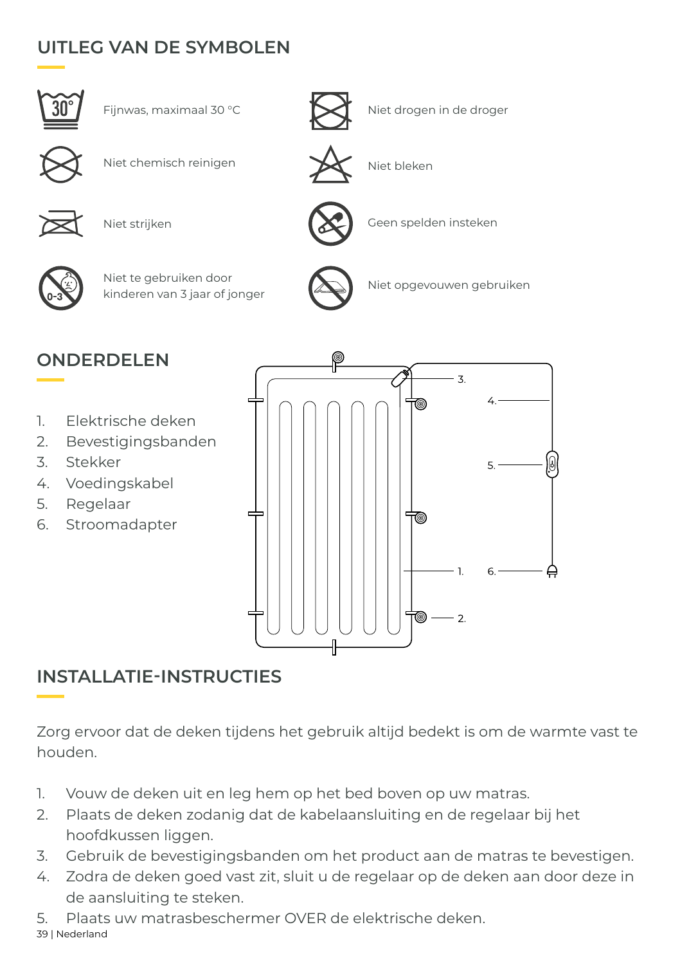### **UITLEG VAN DE SYMBOLEN**





Geen spelden insteken

Niet opgevouwen gebruiken



Niet chemisch reinigen  $\mathbb{R}$  Niet bleken





Niet strijken



Niet te gebruiken door kinderen van 3 jaar of jonger

### **ONDERDELEN**

- 1. Elektrische deken
- 2. Bevestigingsbanden
- 3. Stekker
- 4. Voedingskabel
- 5. Regelaar
- 6. Stroomadapter



#### **INSTALLATIE-INSTRUCTIES**

Zorg ervoor dat de deken tijdens het gebruik altijd bedekt is om de warmte vast te houden.

- 1. Vouw de deken uit en leg hem op het bed boven op uw matras.
- 2. Plaats de deken zodanig dat de kabelaansluiting en de regelaar bij het hoofdkussen liggen.
- 3. Gebruik de bevestigingsbanden om het product aan de matras te bevestigen.
- 4. Zodra de deken goed vast zit, sluit u de regelaar op de deken aan door deze in de aansluiting te steken.
- 5. Plaats uw matrasbeschermer OVER de elektrische deken.

39 | Nederland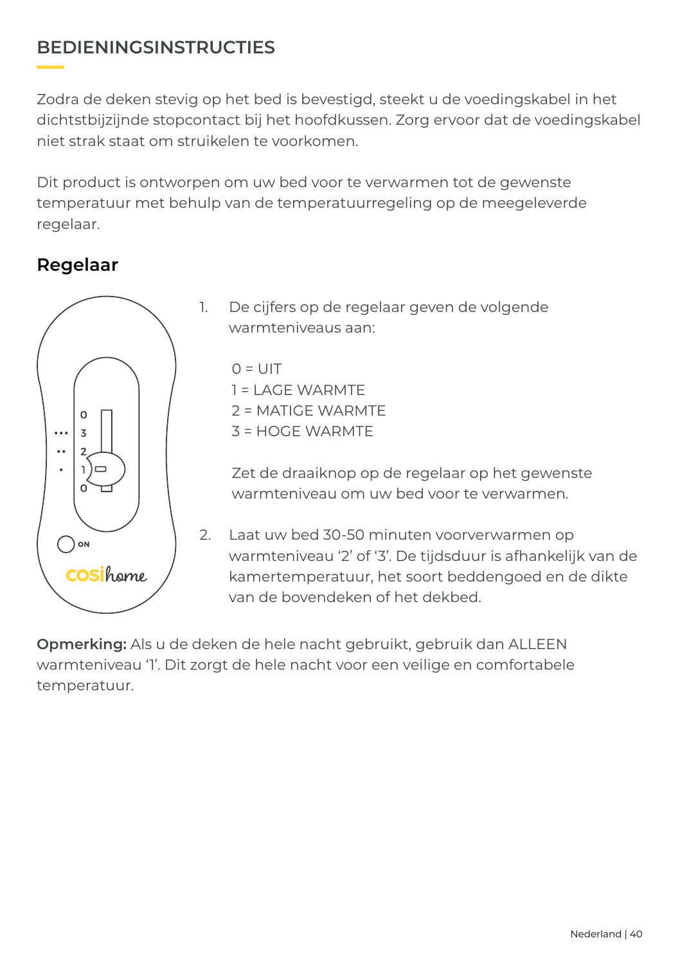#### **BEDIENINGSINSTRUCTIES**

Zodra de deken stevig op het bed is bevestigd, steekt u de voedingskabel in het dichtstbijzijnde stopcontact bij het hoofdkussen. Zorg ervoor dat de voedingskabel niet strak staat om struikelen te voorkomen.

Dit product is ontworpen om uw bed voor te verwarmen tot de gewenste temperatuur met behulp van de temperatuurregeling op de meegeleverde regelaar.

#### **Regelaar**



1. De cijfers op de regelaar geven de volgende warmteniveaus aan:

 $Q = UIT$ 1 = LAGE WARMTE 2 = MATIGE WARMTE 3 = HOGE WARMTE

Zet de draaiknop op de regelaar op het gewenste warmteniveau om uw bed voor te verwarmen.

2. Laat uw bed 30-50 minuten voorverwarmen op warmteniveau '2' of '3'. De tijdsduur is afhankelijk van de kamertemperatuur, het soort beddengoed en de dikte van de bovendeken of het dekbed.

**Opmerking:** Als u de deken de hele nacht gebruikt, gebruik dan ALLEEN warmteniveau '1'. Dit zorgt de hele nacht voor een veilige en comfortabele temperatuur.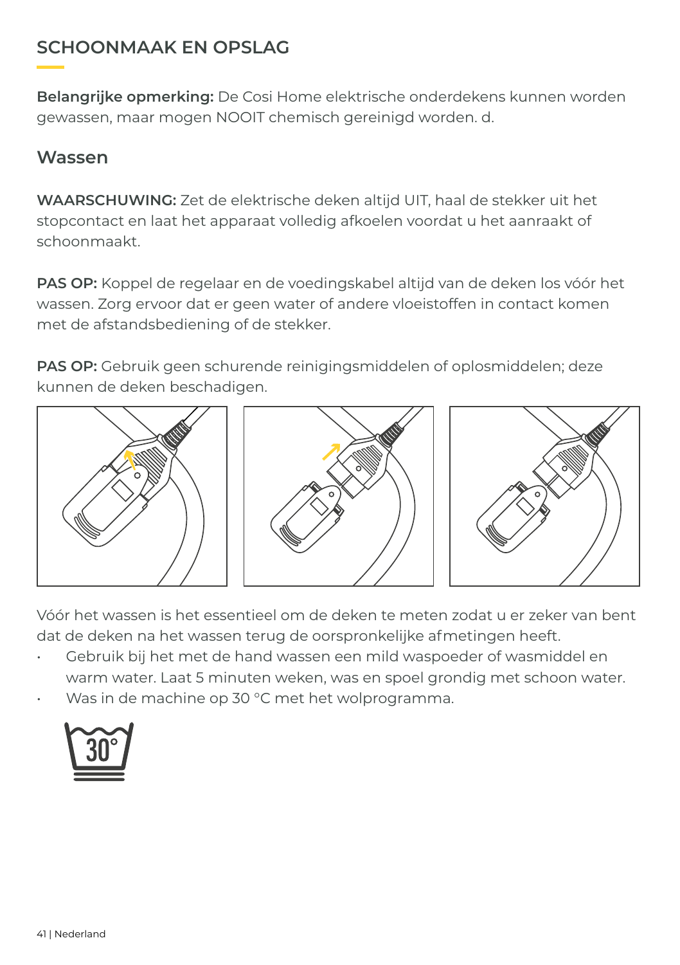#### **SCHOONMAAK EN OPSLAG**

**Belangrijke opmerking:** De Cosi Home elektrische onderdekens kunnen worden gewassen, maar mogen NOOIT chemisch gereinigd worden. d.

#### **Wassen**

**WAARSCHUWING:** Zet de elektrische deken altijd UIT, haal de stekker uit het stopcontact en laat het apparaat volledig afkoelen voordat u het aanraakt of schoonmaakt.

**PAS OP:** Koppel de regelaar en de voedingskabel altijd van de deken los vóór het wassen. Zorg ervoor dat er geen water of andere vloeistoffen in contact komen met de afstandsbediening of de stekker.

**PAS OP:** Gebruik geen schurende reinigingsmiddelen of oplosmiddelen; deze kunnen de deken beschadigen.



Vóór het wassen is het essentieel om de deken te meten zodat u er zeker van bent dat de deken na het wassen terug de oorspronkelijke afmetingen heeft.

- Gebruik bij het met de hand wassen een mild waspoeder of wasmiddel en warm water. Laat 5 minuten weken, was en spoel grondig met schoon water.
- Was in de machine op 30 °C met het wolprogramma.

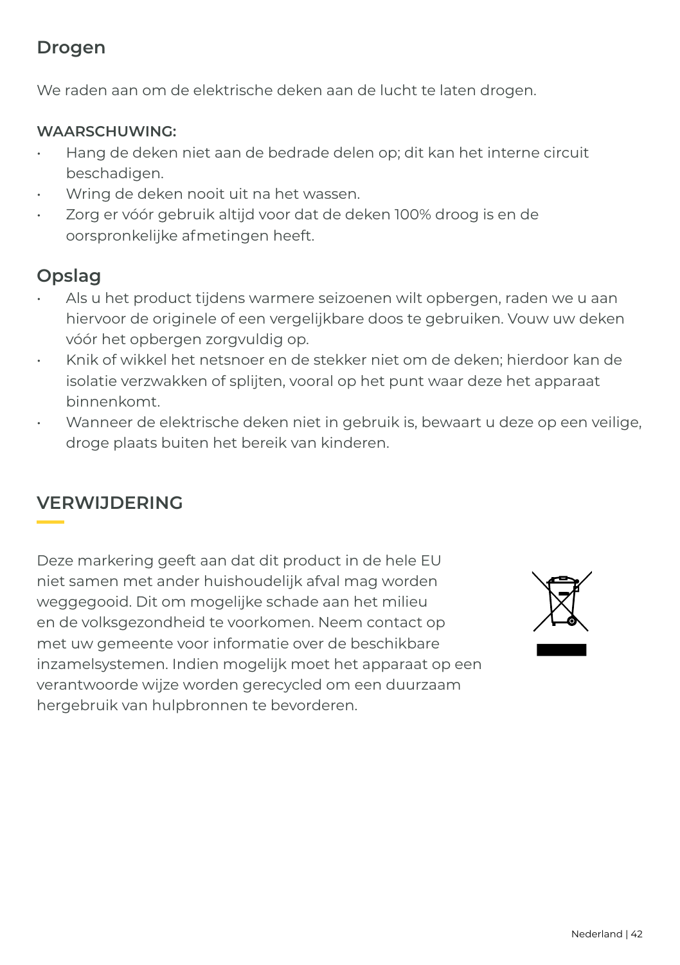#### **Drogen**

We raden aan om de elektrische deken aan de lucht te laten drogen.

#### **WAARSCHUWING:**

- Hang de deken niet aan de bedrade delen op; dit kan het interne circuit beschadigen.
- Wring de deken nooit uit na het wassen.
- Zorg er vóór gebruik altijd voor dat de deken 100% droog is en de oorspronkelijke afmetingen heeft.

#### **Opslag**

- Als u het product tijdens warmere seizoenen wilt opbergen, raden we u aan hiervoor de originele of een vergelijkbare doos te gebruiken. Vouw uw deken vóór het opbergen zorgvuldig op.
- Knik of wikkel het netsnoer en de stekker niet om de deken; hierdoor kan de isolatie verzwakken of splijten, vooral op het punt waar deze het apparaat binnenkomt.
- Wanneer de elektrische deken niet in gebruik is, bewaart u deze op een veilige, droge plaats buiten het bereik van kinderen.

#### **VERWIJDERING**

Deze markering geeft aan dat dit product in de hele EU niet samen met ander huishoudelijk afval mag worden weggegooid. Dit om mogelijke schade aan het milieu en de volksgezondheid te voorkomen. Neem contact op met uw gemeente voor informatie over de beschikbare inzamelsystemen. Indien mogelijk moet het apparaat op een verantwoorde wijze worden gerecycled om een duurzaam hergebruik van hulpbronnen te bevorderen.